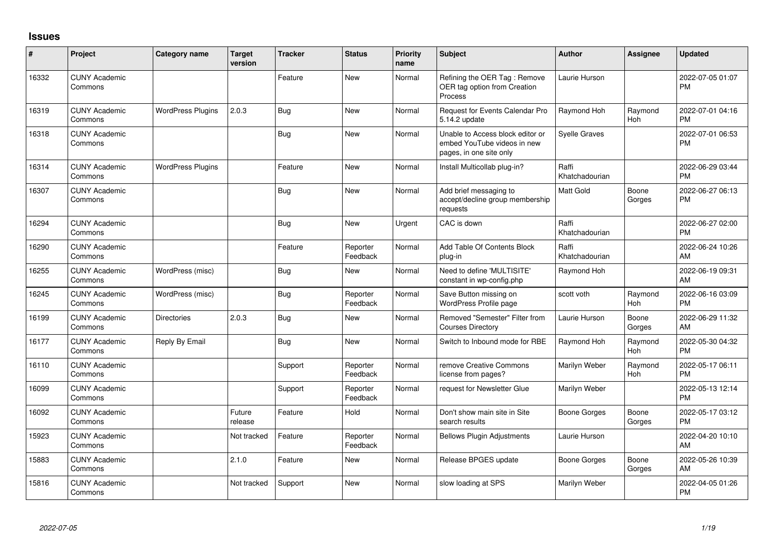## **Issues**

| #     | Project                         | Category name            | <b>Target</b><br>version | <b>Tracker</b> | <b>Status</b>        | Priority<br>name | <b>Subject</b>                                                                             | Author                  | <b>Assignee</b> | <b>Updated</b>                |
|-------|---------------------------------|--------------------------|--------------------------|----------------|----------------------|------------------|--------------------------------------------------------------------------------------------|-------------------------|-----------------|-------------------------------|
| 16332 | <b>CUNY Academic</b><br>Commons |                          |                          | Feature        | <b>New</b>           | Normal           | Refining the OER Tag: Remove<br>OER tag option from Creation<br>Process                    | Laurie Hurson           |                 | 2022-07-05 01:07<br><b>PM</b> |
| 16319 | <b>CUNY Academic</b><br>Commons | <b>WordPress Plugins</b> | 2.0.3                    | <b>Bug</b>     | <b>New</b>           | Normal           | Request for Events Calendar Pro<br>5.14.2 update                                           | Raymond Hoh             | Raymond<br>Hoh  | 2022-07-01 04:16<br><b>PM</b> |
| 16318 | <b>CUNY Academic</b><br>Commons |                          |                          | <b>Bug</b>     | <b>New</b>           | Normal           | Unable to Access block editor or<br>embed YouTube videos in new<br>pages, in one site only | <b>Syelle Graves</b>    |                 | 2022-07-01 06:53<br><b>PM</b> |
| 16314 | <b>CUNY Academic</b><br>Commons | <b>WordPress Plugins</b> |                          | Feature        | <b>New</b>           | Normal           | Install Multicollab plug-in?                                                               | Raffi<br>Khatchadourian |                 | 2022-06-29 03:44<br><b>PM</b> |
| 16307 | <b>CUNY Academic</b><br>Commons |                          |                          | <b>Bug</b>     | <b>New</b>           | Normal           | Add brief messaging to<br>accept/decline group membership<br>requests                      | <b>Matt Gold</b>        | Boone<br>Gorges | 2022-06-27 06:13<br><b>PM</b> |
| 16294 | <b>CUNY Academic</b><br>Commons |                          |                          | Bug            | <b>New</b>           | Urgent           | CAC is down                                                                                | Raffi<br>Khatchadourian |                 | 2022-06-27 02:00<br><b>PM</b> |
| 16290 | <b>CUNY Academic</b><br>Commons |                          |                          | Feature        | Reporter<br>Feedback | Normal           | Add Table Of Contents Block<br>plug-in                                                     | Raffi<br>Khatchadourian |                 | 2022-06-24 10:26<br>AM        |
| 16255 | <b>CUNY Academic</b><br>Commons | WordPress (misc)         |                          | Bug            | <b>New</b>           | Normal           | Need to define 'MULTISITE'<br>constant in wp-config.php                                    | Raymond Hoh             |                 | 2022-06-19 09:31<br>AM        |
| 16245 | <b>CUNY Academic</b><br>Commons | WordPress (misc)         |                          | Bug            | Reporter<br>Feedback | Normal           | Save Button missing on<br>WordPress Profile page                                           | scott voth              | Raymond<br>Hoh  | 2022-06-16 03:09<br><b>PM</b> |
| 16199 | <b>CUNY Academic</b><br>Commons | <b>Directories</b>       | 2.0.3                    | Bug            | <b>New</b>           | Normal           | Removed "Semester" Filter from<br><b>Courses Directory</b>                                 | Laurie Hurson           | Boone<br>Gorges | 2022-06-29 11:32<br>AM        |
| 16177 | <b>CUNY Academic</b><br>Commons | Reply By Email           |                          | Bug            | <b>New</b>           | Normal           | Switch to Inbound mode for RBE                                                             | Raymond Hoh             | Raymond<br>Hoh  | 2022-05-30 04:32<br><b>PM</b> |
| 16110 | <b>CUNY Academic</b><br>Commons |                          |                          | Support        | Reporter<br>Feedback | Normal           | remove Creative Commons<br>license from pages?                                             | Marilyn Weber           | Raymond<br>Hoh  | 2022-05-17 06:11<br><b>PM</b> |
| 16099 | <b>CUNY Academic</b><br>Commons |                          |                          | Support        | Reporter<br>Feedback | Normal           | request for Newsletter Glue                                                                | Marilyn Weber           |                 | 2022-05-13 12:14<br><b>PM</b> |
| 16092 | <b>CUNY Academic</b><br>Commons |                          | Future<br>release        | Feature        | Hold                 | Normal           | Don't show main site in Site<br>search results                                             | Boone Gorges            | Boone<br>Gorges | 2022-05-17 03:12<br><b>PM</b> |
| 15923 | <b>CUNY Academic</b><br>Commons |                          | Not tracked              | Feature        | Reporter<br>Feedback | Normal           | <b>Bellows Plugin Adjustments</b>                                                          | Laurie Hurson           |                 | 2022-04-20 10:10<br>AM        |
| 15883 | <b>CUNY Academic</b><br>Commons |                          | 2.1.0                    | Feature        | <b>New</b>           | Normal           | Release BPGES update                                                                       | Boone Gorges            | Boone<br>Gorges | 2022-05-26 10:39<br>AM        |
| 15816 | <b>CUNY Academic</b><br>Commons |                          | Not tracked              | Support        | <b>New</b>           | Normal           | slow loading at SPS                                                                        | Marilyn Weber           |                 | 2022-04-05 01:26<br>PM        |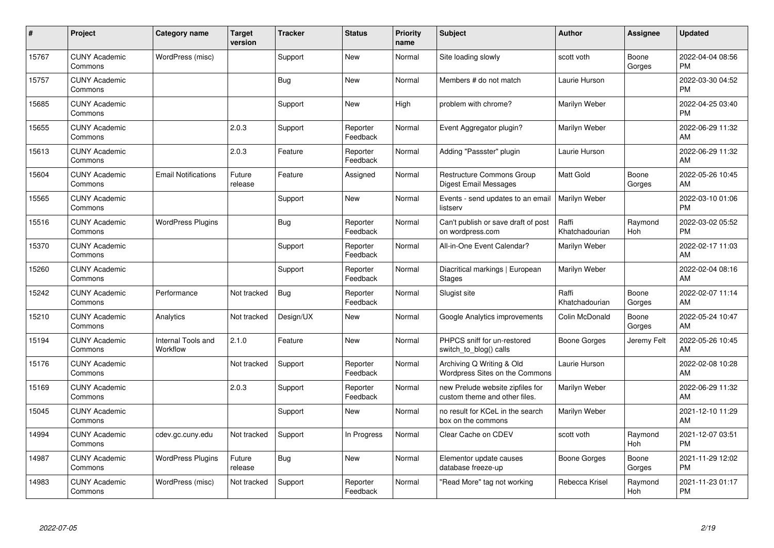| #     | Project                         | <b>Category name</b>           | <b>Target</b><br>version | <b>Tracker</b> | <b>Status</b>        | <b>Priority</b><br>name | <b>Subject</b>                                                    | <b>Author</b>           | Assignee        | <b>Updated</b>                |
|-------|---------------------------------|--------------------------------|--------------------------|----------------|----------------------|-------------------------|-------------------------------------------------------------------|-------------------------|-----------------|-------------------------------|
| 15767 | <b>CUNY Academic</b><br>Commons | WordPress (misc)               |                          | Support        | <b>New</b>           | Normal                  | Site loading slowly                                               | scott voth              | Boone<br>Gorges | 2022-04-04 08:56<br><b>PM</b> |
| 15757 | <b>CUNY Academic</b><br>Commons |                                |                          | Bug            | <b>New</b>           | Normal                  | Members # do not match                                            | Laurie Hurson           |                 | 2022-03-30 04:52<br><b>PM</b> |
| 15685 | <b>CUNY Academic</b><br>Commons |                                |                          | Support        | <b>New</b>           | High                    | problem with chrome?                                              | Marilyn Weber           |                 | 2022-04-25 03:40<br><b>PM</b> |
| 15655 | <b>CUNY Academic</b><br>Commons |                                | 2.0.3                    | Support        | Reporter<br>Feedback | Normal                  | Event Aggregator plugin?                                          | Marilyn Weber           |                 | 2022-06-29 11:32<br>AM        |
| 15613 | <b>CUNY Academic</b><br>Commons |                                | 2.0.3                    | Feature        | Reporter<br>Feedback | Normal                  | Adding "Passster" plugin                                          | Laurie Hurson           |                 | 2022-06-29 11:32<br>AM        |
| 15604 | <b>CUNY Academic</b><br>Commons | <b>Email Notifications</b>     | Future<br>release        | Feature        | Assigned             | Normal                  | Restructure Commons Group<br>Digest Email Messages                | <b>Matt Gold</b>        | Boone<br>Gorges | 2022-05-26 10:45<br>AM.       |
| 15565 | <b>CUNY Academic</b><br>Commons |                                |                          | Support        | New                  | Normal                  | Events - send updates to an email<br>listserv                     | Marilyn Weber           |                 | 2022-03-10 01:06<br><b>PM</b> |
| 15516 | <b>CUNY Academic</b><br>Commons | <b>WordPress Plugins</b>       |                          | Bug            | Reporter<br>Feedback | Normal                  | Can't publish or save draft of post<br>on wordpress.com           | Raffi<br>Khatchadourian | Raymond<br>Hoh  | 2022-03-02 05:52<br><b>PM</b> |
| 15370 | <b>CUNY Academic</b><br>Commons |                                |                          | Support        | Reporter<br>Feedback | Normal                  | All-in-One Event Calendar?                                        | Marilyn Weber           |                 | 2022-02-17 11:03<br>AM.       |
| 15260 | <b>CUNY Academic</b><br>Commons |                                |                          | Support        | Reporter<br>Feedback | Normal                  | Diacritical markings   European<br>Stages                         | Marilyn Weber           |                 | 2022-02-04 08:16<br>AM        |
| 15242 | <b>CUNY Academic</b><br>Commons | Performance                    | Not tracked              | <b>Bug</b>     | Reporter<br>Feedback | Normal                  | Slugist site                                                      | Raffi<br>Khatchadourian | Boone<br>Gorges | 2022-02-07 11:14<br>AM        |
| 15210 | <b>CUNY Academic</b><br>Commons | Analytics                      | Not tracked              | Design/UX      | New                  | Normal                  | Google Analytics improvements                                     | Colin McDonald          | Boone<br>Gorges | 2022-05-24 10:47<br>AM        |
| 15194 | <b>CUNY Academic</b><br>Commons | Internal Tools and<br>Workflow | 2.1.0                    | Feature        | <b>New</b>           | Normal                  | PHPCS sniff for un-restored<br>switch_to_blog() calls             | Boone Gorges            | Jeremy Felt     | 2022-05-26 10:45<br><b>AM</b> |
| 15176 | <b>CUNY Academic</b><br>Commons |                                | Not tracked              | Support        | Reporter<br>Feedback | Normal                  | Archiving Q Writing & Old<br>Wordpress Sites on the Commons       | Laurie Hurson           |                 | 2022-02-08 10:28<br>AM        |
| 15169 | <b>CUNY Academic</b><br>Commons |                                | 2.0.3                    | Support        | Reporter<br>Feedback | Normal                  | new Prelude website zipfiles for<br>custom theme and other files. | Marilyn Weber           |                 | 2022-06-29 11:32<br><b>AM</b> |
| 15045 | <b>CUNY Academic</b><br>Commons |                                |                          | Support        | New                  | Normal                  | no result for KCeL in the search<br>box on the commons            | Marilyn Weber           |                 | 2021-12-10 11:29<br>AM        |
| 14994 | <b>CUNY Academic</b><br>Commons | cdev.gc.cuny.edu               | Not tracked              | Support        | In Progress          | Normal                  | Clear Cache on CDEV                                               | scott voth              | Raymond<br>Hoh  | 2021-12-07 03:51<br><b>PM</b> |
| 14987 | <b>CUNY Academic</b><br>Commons | <b>WordPress Plugins</b>       | Future<br>release        | <b>Bug</b>     | New                  | Normal                  | Elementor update causes<br>database freeze-up                     | Boone Gorges            | Boone<br>Gorges | 2021-11-29 12:02<br><b>PM</b> |
| 14983 | <b>CUNY Academic</b><br>Commons | WordPress (misc)               | Not tracked              | Support        | Reporter<br>Feedback | Normal                  | "Read More" tag not working                                       | Rebecca Krisel          | Raymond<br>Hoh  | 2021-11-23 01:17<br><b>PM</b> |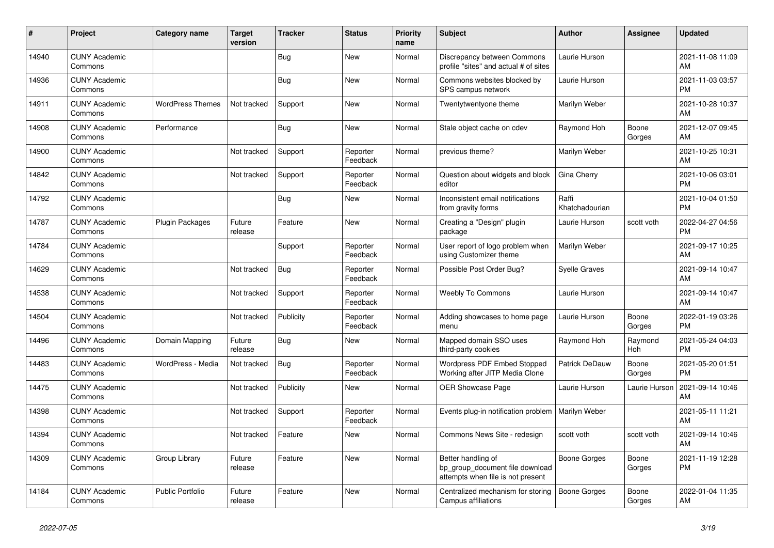| #     | Project                         | <b>Category name</b>    | <b>Target</b><br>version | <b>Tracker</b> | <b>Status</b>        | Priority<br>name | <b>Subject</b>                                                                             | <b>Author</b>           | Assignee        | <b>Updated</b>                |
|-------|---------------------------------|-------------------------|--------------------------|----------------|----------------------|------------------|--------------------------------------------------------------------------------------------|-------------------------|-----------------|-------------------------------|
| 14940 | <b>CUNY Academic</b><br>Commons |                         |                          | <b>Bug</b>     | New                  | Normal           | Discrepancy between Commons<br>profile "sites" and actual # of sites                       | Laurie Hurson           |                 | 2021-11-08 11:09<br>AM        |
| 14936 | <b>CUNY Academic</b><br>Commons |                         |                          | <b>Bug</b>     | <b>New</b>           | Normal           | Commons websites blocked by<br>SPS campus network                                          | Laurie Hurson           |                 | 2021-11-03 03:57<br><b>PM</b> |
| 14911 | <b>CUNY Academic</b><br>Commons | <b>WordPress Themes</b> | Not tracked              | Support        | <b>New</b>           | Normal           | Twentytwentyone theme                                                                      | Marilyn Weber           |                 | 2021-10-28 10:37<br>AM        |
| 14908 | <b>CUNY Academic</b><br>Commons | Performance             |                          | <b>Bug</b>     | New                  | Normal           | Stale object cache on cdev                                                                 | Raymond Hoh             | Boone<br>Gorges | 2021-12-07 09:45<br>AM        |
| 14900 | <b>CUNY Academic</b><br>Commons |                         | Not tracked              | Support        | Reporter<br>Feedback | Normal           | previous theme?                                                                            | Marilyn Weber           |                 | 2021-10-25 10:31<br>AM        |
| 14842 | <b>CUNY Academic</b><br>Commons |                         | Not tracked              | Support        | Reporter<br>Feedback | Normal           | Question about widgets and block<br>editor                                                 | Gina Cherry             |                 | 2021-10-06 03:01<br><b>PM</b> |
| 14792 | <b>CUNY Academic</b><br>Commons |                         |                          | Bug            | New                  | Normal           | Inconsistent email notifications<br>from gravity forms                                     | Raffi<br>Khatchadourian |                 | 2021-10-04 01:50<br><b>PM</b> |
| 14787 | <b>CUNY Academic</b><br>Commons | <b>Plugin Packages</b>  | Future<br>release        | Feature        | New                  | Normal           | Creating a "Design" plugin<br>package                                                      | Laurie Hurson           | scott voth      | 2022-04-27 04:56<br><b>PM</b> |
| 14784 | <b>CUNY Academic</b><br>Commons |                         |                          | Support        | Reporter<br>Feedback | Normal           | User report of logo problem when<br>using Customizer theme                                 | Marilyn Weber           |                 | 2021-09-17 10:25<br>AM        |
| 14629 | <b>CUNY Academic</b><br>Commons |                         | Not tracked              | Bug            | Reporter<br>Feedback | Normal           | Possible Post Order Bug?                                                                   | <b>Syelle Graves</b>    |                 | 2021-09-14 10:47<br>AM        |
| 14538 | <b>CUNY Academic</b><br>Commons |                         | Not tracked              | Support        | Reporter<br>Feedback | Normal           | <b>Weebly To Commons</b>                                                                   | Laurie Hurson           |                 | 2021-09-14 10:47<br>AM        |
| 14504 | <b>CUNY Academic</b><br>Commons |                         | Not tracked              | Publicity      | Reporter<br>Feedback | Normal           | Adding showcases to home page<br>menu                                                      | Laurie Hurson           | Boone<br>Gorges | 2022-01-19 03:26<br><b>PM</b> |
| 14496 | <b>CUNY Academic</b><br>Commons | Domain Mapping          | Future<br>release        | Bug            | <b>New</b>           | Normal           | Mapped domain SSO uses<br>third-party cookies                                              | Raymond Hoh             | Raymond<br>Hoh  | 2021-05-24 04:03<br><b>PM</b> |
| 14483 | <b>CUNY Academic</b><br>Commons | WordPress - Media       | Not tracked              | Bug            | Reporter<br>Feedback | Normal           | <b>Wordpress PDF Embed Stopped</b><br>Working after JITP Media Clone                       | Patrick DeDauw          | Boone<br>Gorges | 2021-05-20 01:51<br><b>PM</b> |
| 14475 | <b>CUNY Academic</b><br>Commons |                         | Not tracked              | Publicity      | New                  | Normal           | <b>OER Showcase Page</b>                                                                   | Laurie Hurson           | Laurie Hurson   | 2021-09-14 10:46<br>AM        |
| 14398 | <b>CUNY Academic</b><br>Commons |                         | Not tracked              | Support        | Reporter<br>Feedback | Normal           | Events plug-in notification problem                                                        | Marilyn Weber           |                 | 2021-05-11 11:21<br>AM        |
| 14394 | <b>CUNY Academic</b><br>Commons |                         | Not tracked              | Feature        | New                  | Normal           | Commons News Site - redesign                                                               | scott voth              | scott voth      | 2021-09-14 10:46<br>AM        |
| 14309 | <b>CUNY Academic</b><br>Commons | Group Library           | Future<br>release        | Feature        | New                  | Normal           | Better handling of<br>bp group document file download<br>attempts when file is not present | Boone Gorges            | Boone<br>Gorges | 2021-11-19 12:28<br><b>PM</b> |
| 14184 | <b>CUNY Academic</b><br>Commons | Public Portfolio        | Future<br>release        | Feature        | <b>New</b>           | Normal           | Centralized mechanism for storing<br>Campus affiliations                                   | Boone Gorges            | Boone<br>Gorges | 2022-01-04 11:35<br>AM        |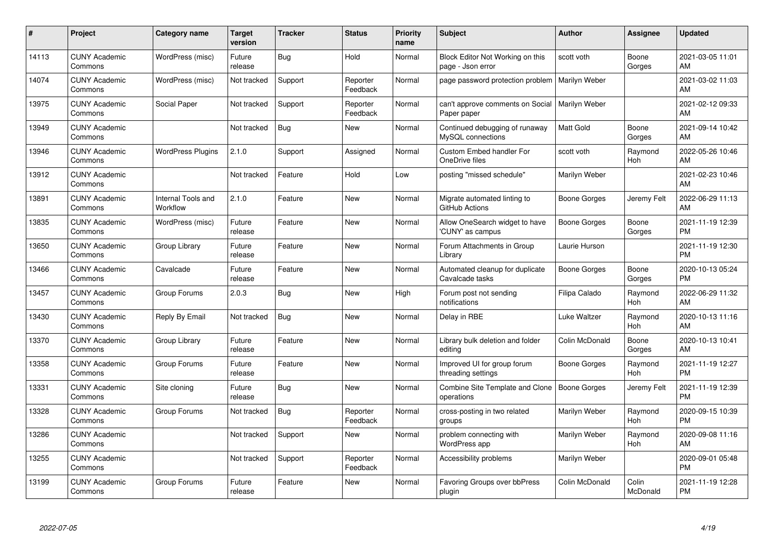| #     | Project                         | <b>Category name</b>           | Target<br>version | <b>Tracker</b> | <b>Status</b>        | <b>Priority</b><br>name | <b>Subject</b>                                        | <b>Author</b>  | <b>Assignee</b>   | <b>Updated</b>                |
|-------|---------------------------------|--------------------------------|-------------------|----------------|----------------------|-------------------------|-------------------------------------------------------|----------------|-------------------|-------------------------------|
| 14113 | <b>CUNY Academic</b><br>Commons | WordPress (misc)               | Future<br>release | <b>Bug</b>     | Hold                 | Normal                  | Block Editor Not Working on this<br>page - Json error | scott voth     | Boone<br>Gorges   | 2021-03-05 11:01<br><b>AM</b> |
| 14074 | <b>CUNY Academic</b><br>Commons | WordPress (misc)               | Not tracked       | Support        | Reporter<br>Feedback | Normal                  | page password protection problem                      | Marilyn Weber  |                   | 2021-03-02 11:03<br><b>AM</b> |
| 13975 | <b>CUNY Academic</b><br>Commons | Social Paper                   | Not tracked       | Support        | Reporter<br>Feedback | Normal                  | can't approve comments on Social<br>Paper paper       | Marilyn Weber  |                   | 2021-02-12 09:33<br>AM        |
| 13949 | <b>CUNY Academic</b><br>Commons |                                | Not tracked       | <b>Bug</b>     | <b>New</b>           | Normal                  | Continued debugging of runaway<br>MySQL connections   | Matt Gold      | Boone<br>Gorges   | 2021-09-14 10:42<br>AM        |
| 13946 | <b>CUNY Academic</b><br>Commons | <b>WordPress Plugins</b>       | 2.1.0             | Support        | Assigned             | Normal                  | Custom Embed handler For<br>OneDrive files            | scott voth     | Raymond<br>Hoh    | 2022-05-26 10:46<br><b>AM</b> |
| 13912 | <b>CUNY Academic</b><br>Commons |                                | Not tracked       | Feature        | Hold                 | Low                     | posting "missed schedule"                             | Marilyn Weber  |                   | 2021-02-23 10:46<br>AM        |
| 13891 | <b>CUNY Academic</b><br>Commons | Internal Tools and<br>Workflow | 2.1.0             | Feature        | <b>New</b>           | Normal                  | Migrate automated linting to<br>GitHub Actions        | Boone Gorges   | Jeremy Felt       | 2022-06-29 11:13<br>AM        |
| 13835 | <b>CUNY Academic</b><br>Commons | WordPress (misc)               | Future<br>release | Feature        | <b>New</b>           | Normal                  | Allow OneSearch widget to have<br>'CUNY' as campus    | Boone Gorges   | Boone<br>Gorges   | 2021-11-19 12:39<br><b>PM</b> |
| 13650 | <b>CUNY Academic</b><br>Commons | Group Library                  | Future<br>release | Feature        | <b>New</b>           | Normal                  | Forum Attachments in Group<br>Library                 | Laurie Hurson  |                   | 2021-11-19 12:30<br><b>PM</b> |
| 13466 | <b>CUNY Academic</b><br>Commons | Cavalcade                      | Future<br>release | Feature        | New                  | Normal                  | Automated cleanup for duplicate<br>Cavalcade tasks    | Boone Gorges   | Boone<br>Gorges   | 2020-10-13 05:24<br>PM        |
| 13457 | <b>CUNY Academic</b><br>Commons | Group Forums                   | 2.0.3             | <b>Bug</b>     | <b>New</b>           | High                    | Forum post not sending<br>notifications               | Filipa Calado  | Raymond<br>Hoh    | 2022-06-29 11:32<br>AM        |
| 13430 | <b>CUNY Academic</b><br>Commons | Reply By Email                 | Not tracked       | <b>Bug</b>     | <b>New</b>           | Normal                  | Delay in RBE                                          | Luke Waltzer   | Raymond<br>Hoh    | 2020-10-13 11:16<br>AM        |
| 13370 | <b>CUNY Academic</b><br>Commons | Group Library                  | Future<br>release | Feature        | <b>New</b>           | Normal                  | Library bulk deletion and folder<br>editing           | Colin McDonald | Boone<br>Gorges   | 2020-10-13 10:41<br>AM.       |
| 13358 | <b>CUNY Academic</b><br>Commons | Group Forums                   | Future<br>release | Feature        | New                  | Normal                  | Improved UI for group forum<br>threading settings     | Boone Gorges   | Raymond<br>Hoh    | 2021-11-19 12:27<br><b>PM</b> |
| 13331 | <b>CUNY Academic</b><br>Commons | Site cloning                   | Future<br>release | <b>Bug</b>     | New                  | Normal                  | Combine Site Template and Clone<br>operations         | Boone Gorges   | Jeremy Felt       | 2021-11-19 12:39<br><b>PM</b> |
| 13328 | <b>CUNY Academic</b><br>Commons | Group Forums                   | Not tracked       | <b>Bug</b>     | Reporter<br>Feedback | Normal                  | cross-posting in two related<br>groups                | Marilyn Weber  | Raymond<br>Hoh    | 2020-09-15 10:39<br><b>PM</b> |
| 13286 | <b>CUNY Academic</b><br>Commons |                                | Not tracked       | Support        | New                  | Normal                  | problem connecting with<br>WordPress app              | Marilyn Weber  | Raymond<br>Hoh    | 2020-09-08 11:16<br><b>AM</b> |
| 13255 | <b>CUNY Academic</b><br>Commons |                                | Not tracked       | Support        | Reporter<br>Feedback | Normal                  | Accessibility problems                                | Marilyn Weber  |                   | 2020-09-01 05:48<br><b>PM</b> |
| 13199 | <b>CUNY Academic</b><br>Commons | Group Forums                   | Future<br>release | Feature        | <b>New</b>           | Normal                  | <b>Favoring Groups over bbPress</b><br>plugin         | Colin McDonald | Colin<br>McDonald | 2021-11-19 12:28<br>PM        |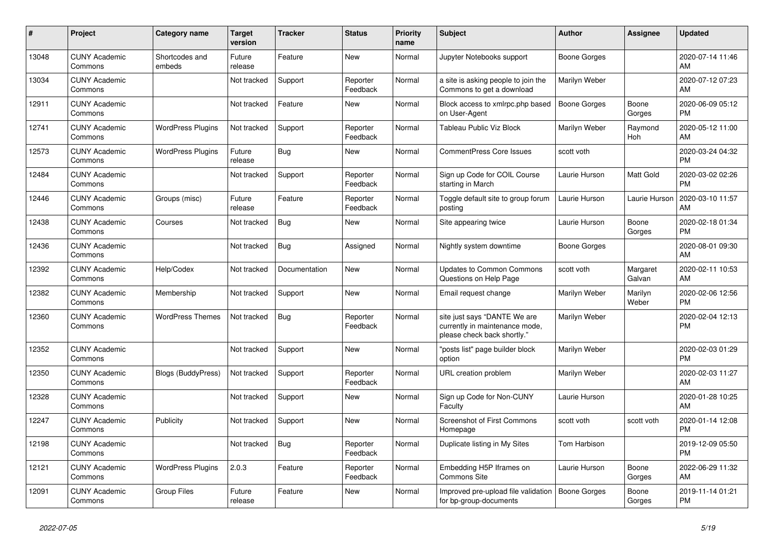| #     | Project                         | <b>Category name</b>      | <b>Target</b><br>version | <b>Tracker</b> | <b>Status</b>        | <b>Priority</b><br>name | <b>Subject</b>                                                                                | <b>Author</b>       | Assignee           | <b>Updated</b>                |
|-------|---------------------------------|---------------------------|--------------------------|----------------|----------------------|-------------------------|-----------------------------------------------------------------------------------------------|---------------------|--------------------|-------------------------------|
| 13048 | <b>CUNY Academic</b><br>Commons | Shortcodes and<br>embeds  | Future<br>release        | Feature        | <b>New</b>           | Normal                  | Jupyter Notebooks support                                                                     | Boone Gorges        |                    | 2020-07-14 11:46<br>AM        |
| 13034 | <b>CUNY Academic</b><br>Commons |                           | Not tracked              | Support        | Reporter<br>Feedback | Normal                  | a site is asking people to join the<br>Commons to get a download                              | Marilyn Weber       |                    | 2020-07-12 07:23<br>AM.       |
| 12911 | <b>CUNY Academic</b><br>Commons |                           | Not tracked              | Feature        | <b>New</b>           | Normal                  | Block access to xmlrpc.php based<br>on User-Agent                                             | Boone Gorges        | Boone<br>Gorges    | 2020-06-09 05:12<br><b>PM</b> |
| 12741 | <b>CUNY Academic</b><br>Commons | <b>WordPress Plugins</b>  | Not tracked              | Support        | Reporter<br>Feedback | Normal                  | Tableau Public Viz Block                                                                      | Marilyn Weber       | Raymond<br>Hoh     | 2020-05-12 11:00<br><b>AM</b> |
| 12573 | <b>CUNY Academic</b><br>Commons | <b>WordPress Plugins</b>  | Future<br>release        | Bug            | <b>New</b>           | Normal                  | <b>CommentPress Core Issues</b>                                                               | scott voth          |                    | 2020-03-24 04:32<br><b>PM</b> |
| 12484 | <b>CUNY Academic</b><br>Commons |                           | Not tracked              | Support        | Reporter<br>Feedback | Normal                  | Sign up Code for COIL Course<br>starting in March                                             | Laurie Hurson       | Matt Gold          | 2020-03-02 02:26<br><b>PM</b> |
| 12446 | <b>CUNY Academic</b><br>Commons | Groups (misc)             | Future<br>release        | Feature        | Reporter<br>Feedback | Normal                  | Toggle default site to group forum<br>posting                                                 | Laurie Hurson       | Laurie Hurson      | 2020-03-10 11:57<br>AM        |
| 12438 | <b>CUNY Academic</b><br>Commons | Courses                   | Not tracked              | Bug            | New                  | Normal                  | Site appearing twice                                                                          | Laurie Hurson       | Boone<br>Gorges    | 2020-02-18 01:34<br><b>PM</b> |
| 12436 | <b>CUNY Academic</b><br>Commons |                           | Not tracked              | Bug            | Assigned             | Normal                  | Nightly system downtime                                                                       | Boone Gorges        |                    | 2020-08-01 09:30<br>AM        |
| 12392 | <b>CUNY Academic</b><br>Commons | Help/Codex                | Not tracked              | Documentation  | <b>New</b>           | Normal                  | <b>Updates to Common Commons</b><br>Questions on Help Page                                    | scott voth          | Margaret<br>Galvan | 2020-02-11 10:53<br>AM        |
| 12382 | <b>CUNY Academic</b><br>Commons | Membership                | Not tracked              | Support        | New                  | Normal                  | Email request change                                                                          | Marilyn Weber       | Marilyn<br>Weber   | 2020-02-06 12:56<br>PM.       |
| 12360 | <b>CUNY Academic</b><br>Commons | <b>WordPress Themes</b>   | Not tracked              | <b>Bug</b>     | Reporter<br>Feedback | Normal                  | site just says "DANTE We are<br>currently in maintenance mode,<br>please check back shortly." | Marilyn Weber       |                    | 2020-02-04 12:13<br><b>PM</b> |
| 12352 | <b>CUNY Academic</b><br>Commons |                           | Not tracked              | Support        | <b>New</b>           | Normal                  | 'posts list" page builder block<br>option                                                     | Marilyn Weber       |                    | 2020-02-03 01:29<br><b>PM</b> |
| 12350 | <b>CUNY Academic</b><br>Commons | <b>Blogs (BuddyPress)</b> | Not tracked              | Support        | Reporter<br>Feedback | Normal                  | URL creation problem                                                                          | Marilyn Weber       |                    | 2020-02-03 11:27<br><b>AM</b> |
| 12328 | <b>CUNY Academic</b><br>Commons |                           | Not tracked              | Support        | <b>New</b>           | Normal                  | Sign up Code for Non-CUNY<br>Faculty                                                          | Laurie Hurson       |                    | 2020-01-28 10:25<br>AM        |
| 12247 | <b>CUNY Academic</b><br>Commons | Publicity                 | Not tracked              | Support        | <b>New</b>           | Normal                  | <b>Screenshot of First Commons</b><br>Homepage                                                | scott voth          | scott voth         | 2020-01-14 12:08<br><b>PM</b> |
| 12198 | <b>CUNY Academic</b><br>Commons |                           | Not tracked              | Bug            | Reporter<br>Feedback | Normal                  | Duplicate listing in My Sites                                                                 | <b>Tom Harbison</b> |                    | 2019-12-09 05:50<br><b>PM</b> |
| 12121 | <b>CUNY Academic</b><br>Commons | <b>WordPress Plugins</b>  | 2.0.3                    | Feature        | Reporter<br>Feedback | Normal                  | Embedding H5P Iframes on<br>Commons Site                                                      | Laurie Hurson       | Boone<br>Gorges    | 2022-06-29 11:32<br>AM        |
| 12091 | <b>CUNY Academic</b><br>Commons | Group Files               | Future<br>release        | Feature        | <b>New</b>           | Normal                  | Improved pre-upload file validation<br>for bp-group-documents                                 | <b>Boone Gorges</b> | Boone<br>Gorges    | 2019-11-14 01:21<br>PM        |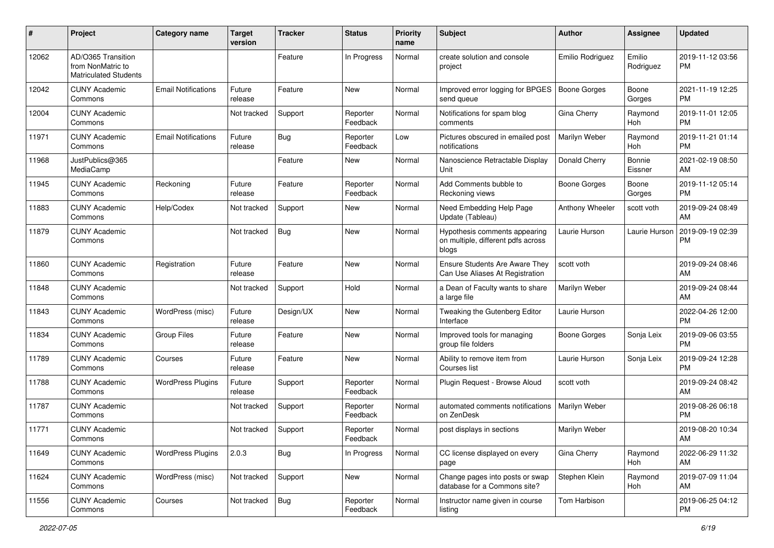| #     | Project                                                                 | <b>Category name</b>       | <b>Target</b><br>version | <b>Tracker</b> | <b>Status</b>        | Priority<br>name | <b>Subject</b>                                                               | Author              | <b>Assignee</b>     | <b>Updated</b>                |
|-------|-------------------------------------------------------------------------|----------------------------|--------------------------|----------------|----------------------|------------------|------------------------------------------------------------------------------|---------------------|---------------------|-------------------------------|
| 12062 | AD/O365 Transition<br>from NonMatric to<br><b>Matriculated Students</b> |                            |                          | Feature        | In Progress          | Normal           | create solution and console<br>project                                       | Emilio Rodriguez    | Emilio<br>Rodriguez | 2019-11-12 03:56<br>PM        |
| 12042 | <b>CUNY Academic</b><br>Commons                                         | <b>Email Notifications</b> | Future<br>release        | Feature        | <b>New</b>           | Normal           | Improved error logging for BPGES<br>send queue                               | <b>Boone Gorges</b> | Boone<br>Gorges     | 2021-11-19 12:25<br>PM        |
| 12004 | <b>CUNY Academic</b><br>Commons                                         |                            | Not tracked              | Support        | Reporter<br>Feedback | Normal           | Notifications for spam blog<br>comments                                      | Gina Cherry         | Raymond<br>Hoh      | 2019-11-01 12:05<br><b>PM</b> |
| 11971 | <b>CUNY Academic</b><br>Commons                                         | <b>Email Notifications</b> | Future<br>release        | Bug            | Reporter<br>Feedback | Low              | Pictures obscured in emailed post<br>notifications                           | Marilyn Weber       | Raymond<br>Hoh      | 2019-11-21 01:14<br><b>PM</b> |
| 11968 | JustPublics@365<br>MediaCamp                                            |                            |                          | Feature        | New                  | Normal           | Nanoscience Retractable Display<br>Unit                                      | Donald Cherry       | Bonnie<br>Eissner   | 2021-02-19 08:50<br>AM        |
| 11945 | <b>CUNY Academic</b><br>Commons                                         | Reckoning                  | Future<br>release        | Feature        | Reporter<br>Feedback | Normal           | Add Comments bubble to<br>Reckoning views                                    | <b>Boone Gorges</b> | Boone<br>Gorges     | 2019-11-12 05:14<br><b>PM</b> |
| 11883 | <b>CUNY Academic</b><br>Commons                                         | Help/Codex                 | Not tracked              | Support        | New                  | Normal           | Need Embedding Help Page<br>Update (Tableau)                                 | Anthony Wheeler     | scott voth          | 2019-09-24 08:49<br>AM        |
| 11879 | <b>CUNY Academic</b><br>Commons                                         |                            | Not tracked              | <b>Bug</b>     | <b>New</b>           | Normal           | Hypothesis comments appearing<br>on multiple, different pdfs across<br>blogs | Laurie Hurson       | Laurie Hurson       | 2019-09-19 02:39<br><b>PM</b> |
| 11860 | <b>CUNY Academic</b><br>Commons                                         | Registration               | Future<br>release        | Feature        | <b>New</b>           | Normal           | Ensure Students Are Aware They<br>Can Use Aliases At Registration            | scott voth          |                     | 2019-09-24 08:46<br>AM        |
| 11848 | <b>CUNY Academic</b><br>Commons                                         |                            | Not tracked              | Support        | Hold                 | Normal           | a Dean of Faculty wants to share<br>a large file                             | Marilyn Weber       |                     | 2019-09-24 08:44<br>AM        |
| 11843 | <b>CUNY Academic</b><br>Commons                                         | WordPress (misc)           | Future<br>release        | Design/UX      | <b>New</b>           | Normal           | Tweaking the Gutenberg Editor<br>Interface                                   | Laurie Hurson       |                     | 2022-04-26 12:00<br><b>PM</b> |
| 11834 | <b>CUNY Academic</b><br>Commons                                         | <b>Group Files</b>         | Future<br>release        | Feature        | <b>New</b>           | Normal           | Improved tools for managing<br>group file folders                            | <b>Boone Gorges</b> | Sonja Leix          | 2019-09-06 03:55<br><b>PM</b> |
| 11789 | <b>CUNY Academic</b><br>Commons                                         | Courses                    | Future<br>release        | Feature        | <b>New</b>           | Normal           | Ability to remove item from<br>Courses list                                  | Laurie Hurson       | Sonja Leix          | 2019-09-24 12:28<br><b>PM</b> |
| 11788 | <b>CUNY Academic</b><br>Commons                                         | <b>WordPress Plugins</b>   | Future<br>release        | Support        | Reporter<br>Feedback | Normal           | Plugin Request - Browse Aloud                                                | scott voth          |                     | 2019-09-24 08:42<br>AM        |
| 11787 | <b>CUNY Academic</b><br>Commons                                         |                            | Not tracked              | Support        | Reporter<br>Feedback | Normal           | automated comments notifications<br>on ZenDesk                               | Marilyn Weber       |                     | 2019-08-26 06:18<br><b>PM</b> |
| 11771 | <b>CUNY Academic</b><br>Commons                                         |                            | Not tracked              | Support        | Reporter<br>Feedback | Normal           | post displays in sections                                                    | Marilyn Weber       |                     | 2019-08-20 10:34<br>AM        |
| 11649 | <b>CUNY Academic</b><br>Commons                                         | <b>WordPress Plugins</b>   | 2.0.3                    | Bug            | In Progress          | Normal           | CC license displayed on every<br>page                                        | Gina Cherry         | Raymond<br>Hoh      | 2022-06-29 11:32<br>AM        |
| 11624 | <b>CUNY Academic</b><br>Commons                                         | WordPress (misc)           | Not tracked              | Support        | New                  | Normal           | Change pages into posts or swap<br>database for a Commons site?              | Stephen Klein       | Raymond<br>Hoh      | 2019-07-09 11:04<br>AM        |
| 11556 | <b>CUNY Academic</b><br>Commons                                         | Courses                    | Not tracked              | Bug            | Reporter<br>Feedback | Normal           | Instructor name given in course<br>listing                                   | Tom Harbison        |                     | 2019-06-25 04:12<br><b>PM</b> |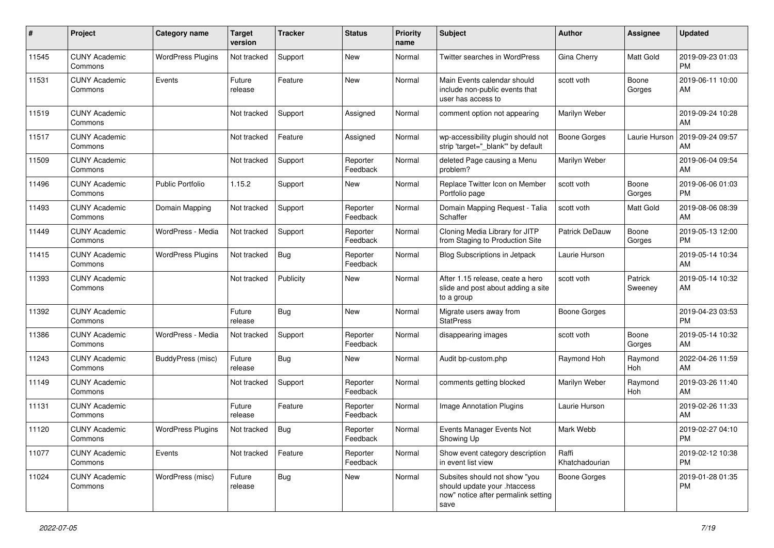| #     | Project                         | <b>Category name</b>     | <b>Target</b><br>version | <b>Tracker</b> | <b>Status</b>        | <b>Priority</b><br>name | <b>Subject</b>                                                                                               | Author                  | <b>Assignee</b>    | <b>Updated</b>                |
|-------|---------------------------------|--------------------------|--------------------------|----------------|----------------------|-------------------------|--------------------------------------------------------------------------------------------------------------|-------------------------|--------------------|-------------------------------|
| 11545 | <b>CUNY Academic</b><br>Commons | <b>WordPress Plugins</b> | Not tracked              | Support        | <b>New</b>           | Normal                  | <b>Twitter searches in WordPress</b>                                                                         | Gina Cherry             | Matt Gold          | 2019-09-23 01:03<br><b>PM</b> |
| 11531 | <b>CUNY Academic</b><br>Commons | Events                   | Future<br>release        | Feature        | New                  | Normal                  | Main Events calendar should<br>include non-public events that<br>user has access to                          | scott voth              | Boone<br>Gorges    | 2019-06-11 10:00<br>AM        |
| 11519 | <b>CUNY Academic</b><br>Commons |                          | Not tracked              | Support        | Assigned             | Normal                  | comment option not appearing                                                                                 | Marilyn Weber           |                    | 2019-09-24 10:28<br>AM        |
| 11517 | <b>CUNY Academic</b><br>Commons |                          | Not tracked              | Feature        | Assigned             | Normal                  | wp-accessibility plugin should not<br>strip 'target="_blank" by default                                      | Boone Gorges            | Laurie Hurson      | 2019-09-24 09:57<br>AM        |
| 11509 | <b>CUNY Academic</b><br>Commons |                          | Not tracked              | Support        | Reporter<br>Feedback | Normal                  | deleted Page causing a Menu<br>problem?                                                                      | Marilyn Weber           |                    | 2019-06-04 09:54<br>AM        |
| 11496 | <b>CUNY Academic</b><br>Commons | <b>Public Portfolio</b>  | 1.15.2                   | Support        | New                  | Normal                  | Replace Twitter Icon on Member<br>Portfolio page                                                             | scott voth              | Boone<br>Gorges    | 2019-06-06 01:03<br><b>PM</b> |
| 11493 | <b>CUNY Academic</b><br>Commons | Domain Mapping           | Not tracked              | Support        | Reporter<br>Feedback | Normal                  | Domain Mapping Request - Talia<br>Schaffer                                                                   | scott voth              | Matt Gold          | 2019-08-06 08:39<br>AM        |
| 11449 | <b>CUNY Academic</b><br>Commons | WordPress - Media        | Not tracked              | Support        | Reporter<br>Feedback | Normal                  | Cloning Media Library for JITP<br>from Staging to Production Site                                            | Patrick DeDauw          | Boone<br>Gorges    | 2019-05-13 12:00<br><b>PM</b> |
| 11415 | <b>CUNY Academic</b><br>Commons | <b>WordPress Plugins</b> | Not tracked              | <b>Bug</b>     | Reporter<br>Feedback | Normal                  | Blog Subscriptions in Jetpack                                                                                | Laurie Hurson           |                    | 2019-05-14 10:34<br>AM        |
| 11393 | <b>CUNY Academic</b><br>Commons |                          | Not tracked              | Publicity      | New                  | Normal                  | After 1.15 release, ceate a hero<br>slide and post about adding a site<br>to a group                         | scott voth              | Patrick<br>Sweeney | 2019-05-14 10:32<br>AM        |
| 11392 | <b>CUNY Academic</b><br>Commons |                          | Future<br>release        | Bug            | New                  | Normal                  | Migrate users away from<br><b>StatPress</b>                                                                  | Boone Gorges            |                    | 2019-04-23 03:53<br><b>PM</b> |
| 11386 | <b>CUNY Academic</b><br>Commons | WordPress - Media        | Not tracked              | Support        | Reporter<br>Feedback | Normal                  | disappearing images                                                                                          | scott voth              | Boone<br>Gorges    | 2019-05-14 10:32<br>AM        |
| 11243 | <b>CUNY Academic</b><br>Commons | BuddyPress (misc)        | Future<br>release        | Bug            | New                  | Normal                  | Audit bp-custom.php                                                                                          | Raymond Hoh             | Raymond<br>Hoh     | 2022-04-26 11:59<br>AM        |
| 11149 | <b>CUNY Academic</b><br>Commons |                          | Not tracked              | Support        | Reporter<br>Feedback | Normal                  | comments getting blocked                                                                                     | Marilyn Weber           | Raymond<br>Hoh     | 2019-03-26 11:40<br>AM        |
| 11131 | <b>CUNY Academic</b><br>Commons |                          | Future<br>release        | Feature        | Reporter<br>Feedback | Normal                  | Image Annotation Plugins                                                                                     | Laurie Hurson           |                    | 2019-02-26 11:33<br>AM        |
| 11120 | <b>CUNY Academic</b><br>Commons | <b>WordPress Plugins</b> | Not tracked              | <b>Bug</b>     | Reporter<br>Feedback | Normal                  | Events Manager Events Not<br>Showing Up                                                                      | Mark Webb               |                    | 2019-02-27 04:10<br>PM        |
| 11077 | <b>CUNY Academic</b><br>Commons | Events                   | Not tracked              | Feature        | Reporter<br>Feedback | Normal                  | Show event category description<br>in event list view                                                        | Raffi<br>Khatchadourian |                    | 2019-02-12 10:38<br>PM.       |
| 11024 | <b>CUNY Academic</b><br>Commons | WordPress (misc)         | Future<br>release        | <b>Bug</b>     | New                  | Normal                  | Subsites should not show "you<br>should update your .htaccess<br>now" notice after permalink setting<br>save | <b>Boone Gorges</b>     |                    | 2019-01-28 01:35<br><b>PM</b> |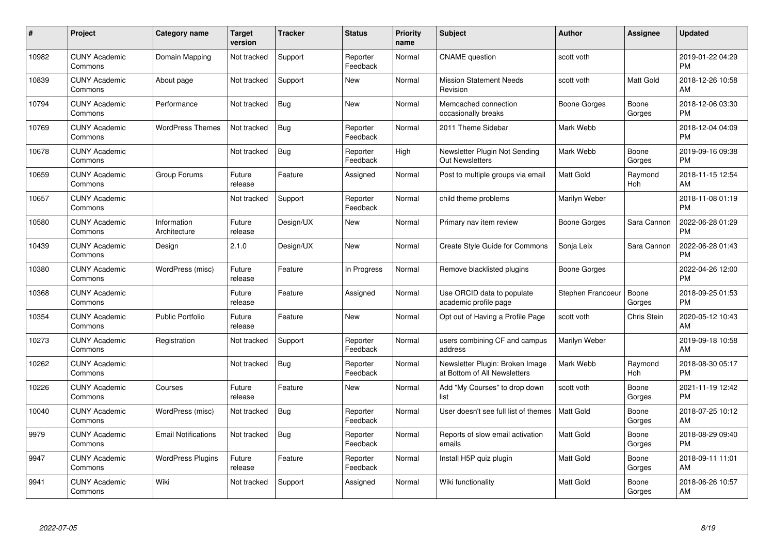| #     | Project                         | <b>Category name</b>        | <b>Target</b><br>version | <b>Tracker</b> | <b>Status</b>        | Priority<br>name | <b>Subject</b>                                                  | <b>Author</b>     | <b>Assignee</b> | <b>Updated</b>                |
|-------|---------------------------------|-----------------------------|--------------------------|----------------|----------------------|------------------|-----------------------------------------------------------------|-------------------|-----------------|-------------------------------|
| 10982 | <b>CUNY Academic</b><br>Commons | Domain Mapping              | Not tracked              | Support        | Reporter<br>Feedback | Normal           | <b>CNAME</b> question                                           | scott voth        |                 | 2019-01-22 04:29<br><b>PM</b> |
| 10839 | <b>CUNY Academic</b><br>Commons | About page                  | Not tracked              | Support        | New                  | Normal           | <b>Mission Statement Needs</b><br>Revision                      | scott voth        | Matt Gold       | 2018-12-26 10:58<br>AM        |
| 10794 | <b>CUNY Academic</b><br>Commons | Performance                 | Not tracked              | Bug            | <b>New</b>           | Normal           | Memcached connection<br>occasionally breaks                     | Boone Gorges      | Boone<br>Gorges | 2018-12-06 03:30<br><b>PM</b> |
| 10769 | <b>CUNY Academic</b><br>Commons | <b>WordPress Themes</b>     | Not tracked              | Bug            | Reporter<br>Feedback | Normal           | 2011 Theme Sidebar                                              | Mark Webb         |                 | 2018-12-04 04:09<br><b>PM</b> |
| 10678 | <b>CUNY Academic</b><br>Commons |                             | Not tracked              | <b>Bug</b>     | Reporter<br>Feedback | High             | Newsletter Plugin Not Sending<br><b>Out Newsletters</b>         | Mark Webb         | Boone<br>Gorges | 2019-09-16 09:38<br><b>PM</b> |
| 10659 | <b>CUNY Academic</b><br>Commons | Group Forums                | Future<br>release        | Feature        | Assigned             | Normal           | Post to multiple groups via email                               | <b>Matt Gold</b>  | Raymond<br>Hoh  | 2018-11-15 12:54<br>AM        |
| 10657 | <b>CUNY Academic</b><br>Commons |                             | Not tracked              | Support        | Reporter<br>Feedback | Normal           | child theme problems                                            | Marilyn Weber     |                 | 2018-11-08 01:19<br><b>PM</b> |
| 10580 | <b>CUNY Academic</b><br>Commons | Information<br>Architecture | Future<br>release        | Design/UX      | <b>New</b>           | Normal           | Primary nav item review                                         | Boone Gorges      | Sara Cannon     | 2022-06-28 01:29<br><b>PM</b> |
| 10439 | <b>CUNY Academic</b><br>Commons | Design                      | 2.1.0                    | Design/UX      | <b>New</b>           | Normal           | Create Style Guide for Commons                                  | Sonja Leix        | Sara Cannon     | 2022-06-28 01:43<br><b>PM</b> |
| 10380 | <b>CUNY Academic</b><br>Commons | WordPress (misc)            | Future<br>release        | Feature        | In Progress          | Normal           | Remove blacklisted plugins                                      | Boone Gorges      |                 | 2022-04-26 12:00<br><b>PM</b> |
| 10368 | <b>CUNY Academic</b><br>Commons |                             | Future<br>release        | Feature        | Assigned             | Normal           | Use ORCID data to populate<br>academic profile page             | Stephen Francoeur | Boone<br>Gorges | 2018-09-25 01:53<br><b>PM</b> |
| 10354 | <b>CUNY Academic</b><br>Commons | <b>Public Portfolio</b>     | Future<br>release        | Feature        | New                  | Normal           | Opt out of Having a Profile Page                                | scott voth        | Chris Stein     | 2020-05-12 10:43<br>AM        |
| 10273 | <b>CUNY Academic</b><br>Commons | Registration                | Not tracked              | Support        | Reporter<br>Feedback | Normal           | users combining CF and campus<br>address                        | Marilyn Weber     |                 | 2019-09-18 10:58<br>AM        |
| 10262 | <b>CUNY Academic</b><br>Commons |                             | Not tracked              | Bug            | Reporter<br>Feedback | Normal           | Newsletter Plugin: Broken Image<br>at Bottom of All Newsletters | Mark Webb         | Raymond<br>Hoh  | 2018-08-30 05:17<br><b>PM</b> |
| 10226 | <b>CUNY Academic</b><br>Commons | Courses                     | Future<br>release        | Feature        | New                  | Normal           | Add "My Courses" to drop down<br>list                           | scott voth        | Boone<br>Gorges | 2021-11-19 12:42<br><b>PM</b> |
| 10040 | <b>CUNY Academic</b><br>Commons | WordPress (misc)            | Not tracked              | Bug            | Reporter<br>Feedback | Normal           | User doesn't see full list of themes                            | <b>Matt Gold</b>  | Boone<br>Gorges | 2018-07-25 10:12<br>AM        |
| 9979  | <b>CUNY Academic</b><br>Commons | <b>Email Notifications</b>  | Not tracked              | Bug            | Reporter<br>Feedback | Normal           | Reports of slow email activation<br>emails                      | <b>Matt Gold</b>  | Boone<br>Gorges | 2018-08-29 09:40<br><b>PM</b> |
| 9947  | <b>CUNY Academic</b><br>Commons | <b>WordPress Plugins</b>    | Future<br>release        | Feature        | Reporter<br>Feedback | Normal           | Install H5P quiz plugin                                         | <b>Matt Gold</b>  | Boone<br>Gorges | 2018-09-11 11:01<br>AM        |
| 9941  | <b>CUNY Academic</b><br>Commons | Wiki                        | Not tracked              | Support        | Assigned             | Normal           | Wiki functionality                                              | <b>Matt Gold</b>  | Boone<br>Gorges | 2018-06-26 10:57<br>AM        |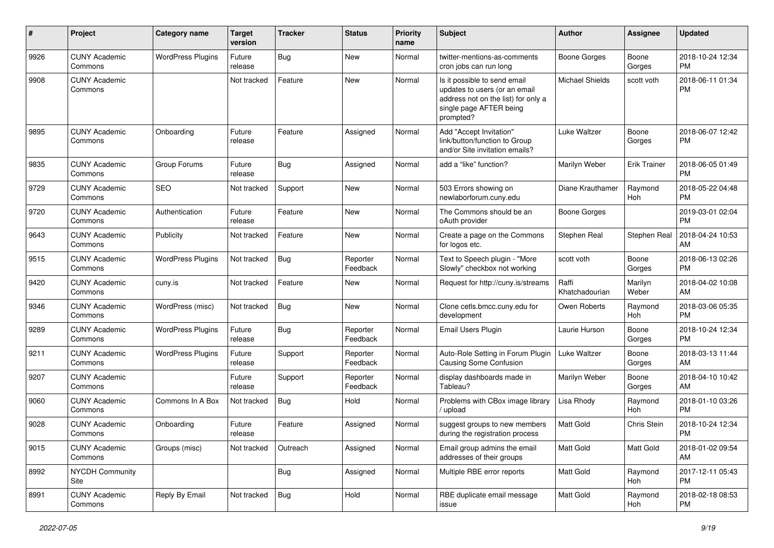| #    | Project                         | <b>Category name</b>     | <b>Target</b><br>version | <b>Tracker</b> | <b>Status</b>        | <b>Priority</b><br>name | <b>Subject</b>                                                                                                                               | Author                  | <b>Assignee</b>     | <b>Updated</b>                |
|------|---------------------------------|--------------------------|--------------------------|----------------|----------------------|-------------------------|----------------------------------------------------------------------------------------------------------------------------------------------|-------------------------|---------------------|-------------------------------|
| 9926 | <b>CUNY Academic</b><br>Commons | <b>WordPress Plugins</b> | Future<br>release        | Bug            | <b>New</b>           | Normal                  | twitter-mentions-as-comments<br>cron jobs can run long                                                                                       | Boone Gorges            | Boone<br>Gorges     | 2018-10-24 12:34<br><b>PM</b> |
| 9908 | <b>CUNY Academic</b><br>Commons |                          | Not tracked              | Feature        | New                  | Normal                  | Is it possible to send email<br>updates to users (or an email<br>address not on the list) for only a<br>single page AFTER being<br>prompted? | <b>Michael Shields</b>  | scott voth          | 2018-06-11 01:34<br><b>PM</b> |
| 9895 | <b>CUNY Academic</b><br>Commons | Onboarding               | Future<br>release        | Feature        | Assigned             | Normal                  | Add "Accept Invitation"<br>link/button/function to Group<br>and/or Site invitation emails?                                                   | Luke Waltzer            | Boone<br>Gorges     | 2018-06-07 12:42<br><b>PM</b> |
| 9835 | <b>CUNY Academic</b><br>Commons | Group Forums             | Future<br>release        | Bug            | Assigned             | Normal                  | add a "like" function?                                                                                                                       | Marilyn Weber           | <b>Erik Trainer</b> | 2018-06-05 01:49<br><b>PM</b> |
| 9729 | <b>CUNY Academic</b><br>Commons | <b>SEO</b>               | Not tracked              | Support        | <b>New</b>           | Normal                  | 503 Errors showing on<br>newlaborforum.cuny.edu                                                                                              | Diane Krauthamer        | Raymond<br>Hoh      | 2018-05-22 04:48<br><b>PM</b> |
| 9720 | <b>CUNY Academic</b><br>Commons | Authentication           | Future<br>release        | Feature        | <b>New</b>           | Normal                  | The Commons should be an<br>oAuth provider                                                                                                   | <b>Boone Gorges</b>     |                     | 2019-03-01 02:04<br><b>PM</b> |
| 9643 | <b>CUNY Academic</b><br>Commons | Publicity                | Not tracked              | Feature        | New                  | Normal                  | Create a page on the Commons<br>for logos etc.                                                                                               | Stephen Real            | Stephen Real        | 2018-04-24 10:53<br>AM        |
| 9515 | <b>CUNY Academic</b><br>Commons | <b>WordPress Plugins</b> | Not tracked              | Bug            | Reporter<br>Feedback | Normal                  | Text to Speech plugin - "More<br>Slowly" checkbox not working                                                                                | scott voth              | Boone<br>Gorges     | 2018-06-13 02:26<br><b>PM</b> |
| 9420 | <b>CUNY Academic</b><br>Commons | cuny.is                  | Not tracked              | Feature        | <b>New</b>           | Normal                  | Request for http://cuny.is/streams                                                                                                           | Raffi<br>Khatchadourian | Marilyn<br>Weber    | 2018-04-02 10:08<br>AM        |
| 9346 | <b>CUNY Academic</b><br>Commons | WordPress (misc)         | Not tracked              | <b>Bug</b>     | New                  | Normal                  | Clone cetls.bmcc.cuny.edu for<br>development                                                                                                 | Owen Roberts            | Raymond<br>Hoh      | 2018-03-06 05:35<br><b>PM</b> |
| 9289 | <b>CUNY Academic</b><br>Commons | <b>WordPress Plugins</b> | Future<br>release        | Bug            | Reporter<br>Feedback | Normal                  | Email Users Plugin                                                                                                                           | Laurie Hurson           | Boone<br>Gorges     | 2018-10-24 12:34<br><b>PM</b> |
| 9211 | <b>CUNY Academic</b><br>Commons | <b>WordPress Plugins</b> | Future<br>release        | Support        | Reporter<br>Feedback | Normal                  | Auto-Role Setting in Forum Plugin<br>Causing Some Confusion                                                                                  | Luke Waltzer            | Boone<br>Gorges     | 2018-03-13 11:44<br>AM        |
| 9207 | <b>CUNY Academic</b><br>Commons |                          | Future<br>release        | Support        | Reporter<br>Feedback | Normal                  | display dashboards made in<br>Tableau?                                                                                                       | Marilyn Weber           | Boone<br>Gorges     | 2018-04-10 10:42<br>AM        |
| 9060 | <b>CUNY Academic</b><br>Commons | Commons In A Box         | Not tracked              | Bug            | Hold                 | Normal                  | Problems with CBox image library<br>upload /                                                                                                 | Lisa Rhody              | Raymond<br>Hoh      | 2018-01-10 03:26<br><b>PM</b> |
| 9028 | <b>CUNY Academic</b><br>Commons | Onboarding               | Future<br>release        | Feature        | Assigned             | Normal                  | suggest groups to new members<br>during the registration process                                                                             | <b>Matt Gold</b>        | Chris Stein         | 2018-10-24 12:34<br><b>PM</b> |
| 9015 | <b>CUNY Academic</b><br>Commons | Groups (misc)            | Not tracked              | Outreach       | Assigned             | Normal                  | Email group admins the email<br>addresses of their groups                                                                                    | Matt Gold               | Matt Gold           | 2018-01-02 09:54<br>AM        |
| 8992 | <b>NYCDH Community</b><br>Site  |                          |                          | <b>Bug</b>     | Assigned             | Normal                  | Multiple RBE error reports                                                                                                                   | Matt Gold               | Raymond<br>Hoh      | 2017-12-11 05:43<br><b>PM</b> |
| 8991 | <b>CUNY Academic</b><br>Commons | Reply By Email           | Not tracked              | Bug            | Hold                 | Normal                  | RBE duplicate email message<br>issue                                                                                                         | Matt Gold               | Raymond<br>Hoh      | 2018-02-18 08:53<br><b>PM</b> |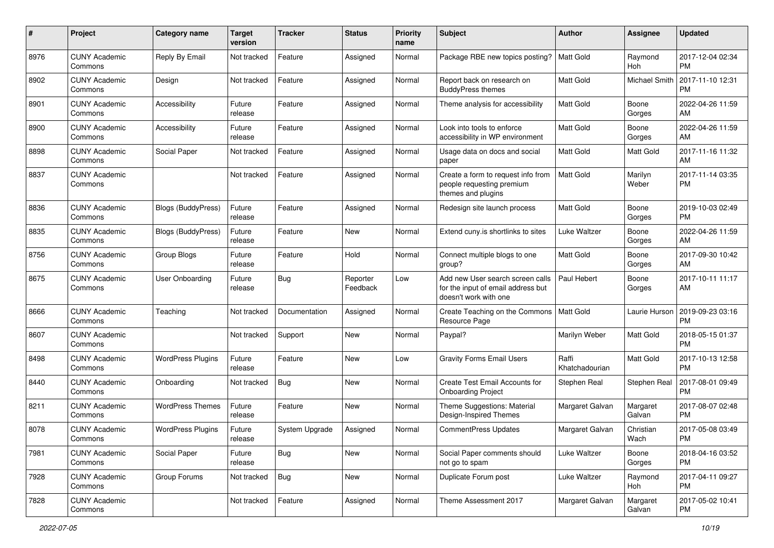| #    | Project                         | <b>Category name</b>     | <b>Target</b><br>version | <b>Tracker</b> | <b>Status</b>        | <b>Priority</b><br>name | Subject                                                                                         | Author                  | <b>Assignee</b>    | <b>Updated</b>                |
|------|---------------------------------|--------------------------|--------------------------|----------------|----------------------|-------------------------|-------------------------------------------------------------------------------------------------|-------------------------|--------------------|-------------------------------|
| 8976 | <b>CUNY Academic</b><br>Commons | Reply By Email           | Not tracked              | Feature        | Assigned             | Normal                  | Package RBE new topics posting?                                                                 | <b>Matt Gold</b>        | Raymond<br>Hoh     | 2017-12-04 02:34<br><b>PM</b> |
| 8902 | <b>CUNY Academic</b><br>Commons | Design                   | Not tracked              | Feature        | Assigned             | Normal                  | Report back on research on<br><b>BuddyPress themes</b>                                          | <b>Matt Gold</b>        | Michael Smith      | 2017-11-10 12:31<br><b>PM</b> |
| 8901 | <b>CUNY Academic</b><br>Commons | Accessibility            | Future<br>release        | Feature        | Assigned             | Normal                  | Theme analysis for accessibility                                                                | Matt Gold               | Boone<br>Gorges    | 2022-04-26 11:59<br>AM        |
| 8900 | <b>CUNY Academic</b><br>Commons | Accessibility            | Future<br>release        | Feature        | Assigned             | Normal                  | Look into tools to enforce<br>accessibility in WP environment                                   | <b>Matt Gold</b>        | Boone<br>Gorges    | 2022-04-26 11:59<br>AM        |
| 8898 | <b>CUNY Academic</b><br>Commons | Social Paper             | Not tracked              | Feature        | Assigned             | Normal                  | Usage data on docs and social<br>paper                                                          | <b>Matt Gold</b>        | Matt Gold          | 2017-11-16 11:32<br>AM        |
| 8837 | <b>CUNY Academic</b><br>Commons |                          | Not tracked              | Feature        | Assigned             | Normal                  | Create a form to request info from<br>people requesting premium<br>themes and plugins           | <b>Matt Gold</b>        | Marilyn<br>Weber   | 2017-11-14 03:35<br><b>PM</b> |
| 8836 | <b>CUNY Academic</b><br>Commons | Blogs (BuddyPress)       | Future<br>release        | Feature        | Assigned             | Normal                  | Redesign site launch process                                                                    | Matt Gold               | Boone<br>Gorges    | 2019-10-03 02:49<br><b>PM</b> |
| 8835 | <b>CUNY Academic</b><br>Commons | Blogs (BuddyPress)       | Future<br>release        | Feature        | New                  | Normal                  | Extend cuny is shortlinks to sites                                                              | Luke Waltzer            | Boone<br>Gorges    | 2022-04-26 11:59<br>AM        |
| 8756 | <b>CUNY Academic</b><br>Commons | Group Blogs              | Future<br>release        | Feature        | Hold                 | Normal                  | Connect multiple blogs to one<br>group?                                                         | <b>Matt Gold</b>        | Boone<br>Gorges    | 2017-09-30 10:42<br>AM        |
| 8675 | <b>CUNY Academic</b><br>Commons | User Onboarding          | Future<br>release        | <b>Bug</b>     | Reporter<br>Feedback | Low                     | Add new User search screen calls<br>for the input of email address but<br>doesn't work with one | Paul Hebert             | Boone<br>Gorges    | 2017-10-11 11:17<br>AM        |
| 8666 | <b>CUNY Academic</b><br>Commons | Teaching                 | Not tracked              | Documentation  | Assigned             | Normal                  | Create Teaching on the Commons<br>Resource Page                                                 | Matt Gold               | Laurie Hurson      | 2019-09-23 03:16<br><b>PM</b> |
| 8607 | <b>CUNY Academic</b><br>Commons |                          | Not tracked              | Support        | New                  | Normal                  | Paypal?                                                                                         | Marilyn Weber           | Matt Gold          | 2018-05-15 01:37<br><b>PM</b> |
| 8498 | <b>CUNY Academic</b><br>Commons | <b>WordPress Plugins</b> | Future<br>release        | Feature        | New                  | Low                     | <b>Gravity Forms Email Users</b>                                                                | Raffi<br>Khatchadourian | Matt Gold          | 2017-10-13 12:58<br><b>PM</b> |
| 8440 | <b>CUNY Academic</b><br>Commons | Onboarding               | Not tracked              | Bug            | New                  | Normal                  | Create Test Email Accounts for<br><b>Onboarding Project</b>                                     | Stephen Real            | Stephen Real       | 2017-08-01 09:49<br><b>PM</b> |
| 8211 | <b>CUNY Academic</b><br>Commons | <b>WordPress Themes</b>  | Future<br>release        | Feature        | New                  | Normal                  | Theme Suggestions: Material<br>Design-Inspired Themes                                           | Margaret Galvan         | Margaret<br>Galvan | 2017-08-07 02:48<br><b>PM</b> |
| 8078 | <b>CUNY Academic</b><br>Commons | <b>WordPress Plugins</b> | Future<br>release        | System Upgrade | Assigned             | Normal                  | <b>CommentPress Updates</b>                                                                     | Margaret Galvan         | Christian<br>Wach  | 2017-05-08 03:49<br>PM        |
| 7981 | <b>CUNY Academic</b><br>Commons | Social Paper             | Future<br>release        | Bug            | New                  | Normal                  | Social Paper comments should<br>not go to spam                                                  | Luke Waltzer            | Boone<br>Gorges    | 2018-04-16 03:52<br><b>PM</b> |
| 7928 | <b>CUNY Academic</b><br>Commons | Group Forums             | Not tracked              | Bug            | New                  | Normal                  | Duplicate Forum post                                                                            | Luke Waltzer            | Raymond<br>Hoh     | 2017-04-11 09:27<br><b>PM</b> |
| 7828 | <b>CUNY Academic</b><br>Commons |                          | Not tracked              | Feature        | Assigned             | Normal                  | Theme Assessment 2017                                                                           | Margaret Galvan         | Margaret<br>Galvan | 2017-05-02 10:41<br><b>PM</b> |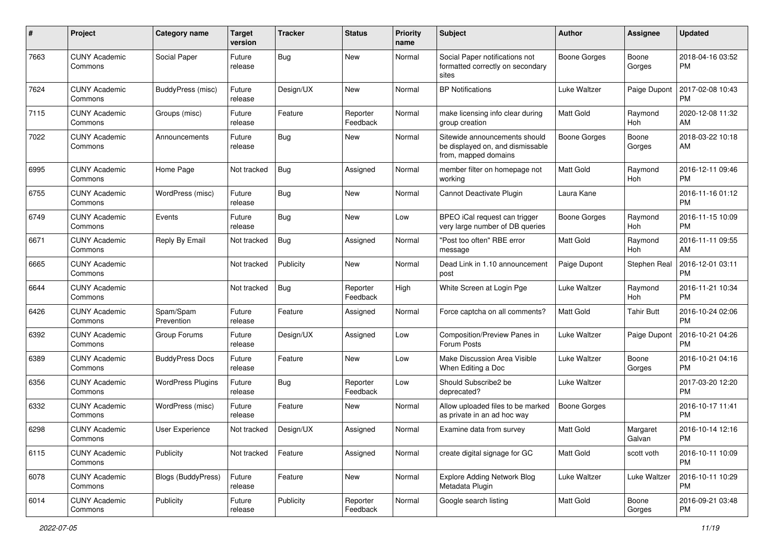| #    | Project                         | <b>Category name</b>      | <b>Target</b><br>version | <b>Tracker</b> | <b>Status</b>        | <b>Priority</b><br>name | Subject                                                                                   | Author              | <b>Assignee</b>    | <b>Updated</b>                |
|------|---------------------------------|---------------------------|--------------------------|----------------|----------------------|-------------------------|-------------------------------------------------------------------------------------------|---------------------|--------------------|-------------------------------|
| 7663 | <b>CUNY Academic</b><br>Commons | Social Paper              | Future<br>release        | <b>Bug</b>     | New                  | Normal                  | Social Paper notifications not<br>formatted correctly on secondary<br>sites               | <b>Boone Gorges</b> | Boone<br>Gorges    | 2018-04-16 03:52<br><b>PM</b> |
| 7624 | <b>CUNY Academic</b><br>Commons | BuddyPress (misc)         | Future<br>release        | Design/UX      | New                  | Normal                  | <b>BP</b> Notifications                                                                   | Luke Waltzer        | Paige Dupont       | 2017-02-08 10:43<br><b>PM</b> |
| 7115 | <b>CUNY Academic</b><br>Commons | Groups (misc)             | Future<br>release        | Feature        | Reporter<br>Feedback | Normal                  | make licensing info clear during<br>group creation                                        | <b>Matt Gold</b>    | Raymond<br>Hoh     | 2020-12-08 11:32<br>AM        |
| 7022 | <b>CUNY Academic</b><br>Commons | Announcements             | Future<br>release        | <b>Bug</b>     | New                  | Normal                  | Sitewide announcements should<br>be displayed on, and dismissable<br>from, mapped domains | <b>Boone Gorges</b> | Boone<br>Gorges    | 2018-03-22 10:18<br>AM        |
| 6995 | <b>CUNY Academic</b><br>Commons | Home Page                 | Not tracked              | Bug            | Assigned             | Normal                  | member filter on homepage not<br>working                                                  | Matt Gold           | Raymond<br>Hoh     | 2016-12-11 09:46<br><b>PM</b> |
| 6755 | <b>CUNY Academic</b><br>Commons | WordPress (misc)          | Future<br>release        | Bug            | New                  | Normal                  | Cannot Deactivate Plugin                                                                  | Laura Kane          |                    | 2016-11-16 01:12<br><b>PM</b> |
| 6749 | <b>CUNY Academic</b><br>Commons | Events                    | Future<br>release        | Bug            | New                  | Low                     | BPEO iCal request can trigger<br>very large number of DB queries                          | Boone Gorges        | Raymond<br>Hoh     | 2016-11-15 10:09<br><b>PM</b> |
| 6671 | <b>CUNY Academic</b><br>Commons | Reply By Email            | Not tracked              | Bug            | Assigned             | Normal                  | "Post too often" RBE error<br>message                                                     | Matt Gold           | Raymond<br>Hoh     | 2016-11-11 09:55<br>AM        |
| 6665 | <b>CUNY Academic</b><br>Commons |                           | Not tracked              | Publicity      | New                  | Normal                  | Dead Link in 1.10 announcement<br>post                                                    | Paige Dupont        | Stephen Real       | 2016-12-01 03:11<br><b>PM</b> |
| 6644 | <b>CUNY Academic</b><br>Commons |                           | Not tracked              | Bug            | Reporter<br>Feedback | High                    | White Screen at Login Pge                                                                 | Luke Waltzer        | Raymond<br>Hoh     | 2016-11-21 10:34<br><b>PM</b> |
| 6426 | <b>CUNY Academic</b><br>Commons | Spam/Spam<br>Prevention   | Future<br>release        | Feature        | Assigned             | Normal                  | Force captcha on all comments?                                                            | <b>Matt Gold</b>    | <b>Tahir Butt</b>  | 2016-10-24 02:06<br><b>PM</b> |
| 6392 | <b>CUNY Academic</b><br>Commons | Group Forums              | Future<br>release        | Design/UX      | Assigned             | Low                     | Composition/Preview Panes in<br>Forum Posts                                               | Luke Waltzer        | Paige Dupont       | 2016-10-21 04:26<br><b>PM</b> |
| 6389 | <b>CUNY Academic</b><br>Commons | <b>BuddyPress Docs</b>    | Future<br>release        | Feature        | New                  | Low                     | Make Discussion Area Visible<br>When Editing a Doc                                        | Luke Waltzer        | Boone<br>Gorges    | 2016-10-21 04:16<br><b>PM</b> |
| 6356 | <b>CUNY Academic</b><br>Commons | <b>WordPress Plugins</b>  | Future<br>release        | <b>Bug</b>     | Reporter<br>Feedback | Low                     | Should Subscribe2 be<br>deprecated?                                                       | Luke Waltzer        |                    | 2017-03-20 12:20<br><b>PM</b> |
| 6332 | <b>CUNY Academic</b><br>Commons | WordPress (misc)          | Future<br>release        | Feature        | New                  | Normal                  | Allow uploaded files to be marked<br>as private in an ad hoc way                          | <b>Boone Gorges</b> |                    | 2016-10-17 11:41<br><b>PM</b> |
| 6298 | <b>CUNY Academic</b><br>Commons | <b>User Experience</b>    | Not tracked              | Design/UX      | Assigned             | Normal                  | Examine data from survey                                                                  | <b>Matt Gold</b>    | Margaret<br>Galvan | 2016-10-14 12:16<br><b>PM</b> |
| 6115 | <b>CUNY Academic</b><br>Commons | Publicity                 | Not tracked              | Feature        | Assigned             | Normal                  | create digital signage for GC                                                             | <b>Matt Gold</b>    | scott voth         | 2016-10-11 10:09<br><b>PM</b> |
| 6078 | <b>CUNY Academic</b><br>Commons | <b>Blogs (BuddyPress)</b> | Future<br>release        | Feature        | New                  | Normal                  | <b>Explore Adding Network Blog</b><br>Metadata Plugin                                     | Luke Waltzer        | Luke Waltzer       | 2016-10-11 10:29<br><b>PM</b> |
| 6014 | <b>CUNY Academic</b><br>Commons | Publicity                 | Future<br>release        | Publicity      | Reporter<br>Feedback | Normal                  | Google search listing                                                                     | Matt Gold           | Boone<br>Gorges    | 2016-09-21 03:48<br><b>PM</b> |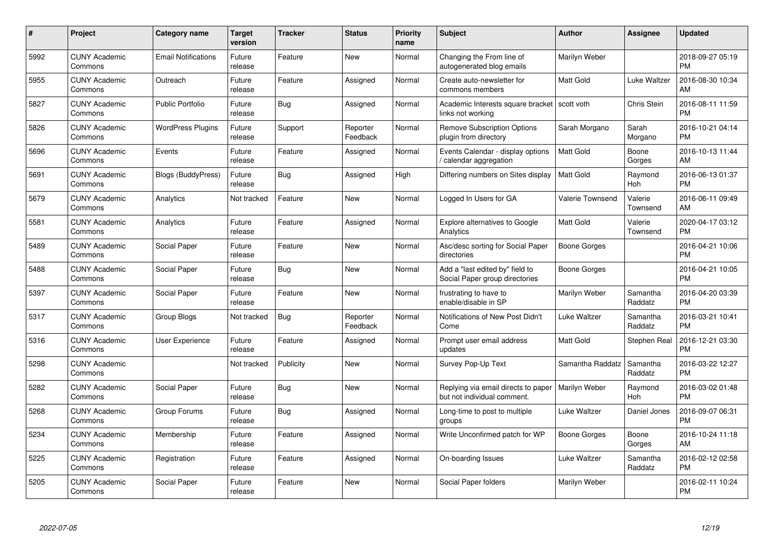| #    | Project                         | <b>Category name</b>       | Target<br>version | <b>Tracker</b> | <b>Status</b>        | <b>Priority</b><br>name | <b>Subject</b>                                                     | <b>Author</b>    | <b>Assignee</b>     | <b>Updated</b>                |
|------|---------------------------------|----------------------------|-------------------|----------------|----------------------|-------------------------|--------------------------------------------------------------------|------------------|---------------------|-------------------------------|
| 5992 | <b>CUNY Academic</b><br>Commons | <b>Email Notifications</b> | Future<br>release | Feature        | <b>New</b>           | Normal                  | Changing the From line of<br>autogenerated blog emails             | Marilyn Weber    |                     | 2018-09-27 05:19<br><b>PM</b> |
| 5955 | <b>CUNY Academic</b><br>Commons | Outreach                   | Future<br>release | Feature        | Assigned             | Normal                  | Create auto-newsletter for<br>commons members                      | <b>Matt Gold</b> | Luke Waltzer        | 2016-08-30 10:34<br>AM        |
| 5827 | <b>CUNY Academic</b><br>Commons | Public Portfolio           | Future<br>release | <b>Bug</b>     | Assigned             | Normal                  | Academic Interests square bracket<br>links not working             | scott voth       | Chris Stein         | 2016-08-11 11:59<br><b>PM</b> |
| 5826 | <b>CUNY Academic</b><br>Commons | <b>WordPress Plugins</b>   | Future<br>release | Support        | Reporter<br>Feedback | Normal                  | <b>Remove Subscription Options</b><br>plugin from directory        | Sarah Morgano    | Sarah<br>Morgano    | 2016-10-21 04:14<br><b>PM</b> |
| 5696 | <b>CUNY Academic</b><br>Commons | Events                     | Future<br>release | Feature        | Assigned             | Normal                  | Events Calendar - display options<br>/ calendar aggregation        | <b>Matt Gold</b> | Boone<br>Gorges     | 2016-10-13 11:44<br>AM        |
| 5691 | <b>CUNY Academic</b><br>Commons | <b>Blogs (BuddyPress)</b>  | Future<br>release | <b>Bug</b>     | Assigned             | High                    | Differing numbers on Sites display                                 | <b>Matt Gold</b> | Raymond<br>Hoh      | 2016-06-13 01:37<br><b>PM</b> |
| 5679 | <b>CUNY Academic</b><br>Commons | Analytics                  | Not tracked       | Feature        | <b>New</b>           | Normal                  | Logged In Users for GA                                             | Valerie Townsend | Valerie<br>Townsend | 2016-06-11 09:49<br>AM        |
| 5581 | <b>CUNY Academic</b><br>Commons | Analytics                  | Future<br>release | Feature        | Assigned             | Normal                  | <b>Explore alternatives to Google</b><br>Analytics                 | Matt Gold        | Valerie<br>Townsend | 2020-04-17 03:12<br><b>PM</b> |
| 5489 | <b>CUNY Academic</b><br>Commons | Social Paper               | Future<br>release | Feature        | New                  | Normal                  | Asc/desc sorting for Social Paper<br>directories                   | Boone Gorges     |                     | 2016-04-21 10:06<br><b>PM</b> |
| 5488 | <b>CUNY Academic</b><br>Commons | Social Paper               | Future<br>release | <b>Bug</b>     | <b>New</b>           | Normal                  | Add a "last edited by" field to<br>Social Paper group directories  | Boone Gorges     |                     | 2016-04-21 10:05<br>PM        |
| 5397 | <b>CUNY Academic</b><br>Commons | Social Paper               | Future<br>release | Feature        | <b>New</b>           | Normal                  | frustrating to have to<br>enable/disable in SP                     | Marilyn Weber    | Samantha<br>Raddatz | 2016-04-20 03:39<br><b>PM</b> |
| 5317 | <b>CUNY Academic</b><br>Commons | Group Blogs                | Not tracked       | <b>Bug</b>     | Reporter<br>Feedback | Normal                  | Notifications of New Post Didn't<br>Come                           | Luke Waltzer     | Samantha<br>Raddatz | 2016-03-21 10:41<br><b>PM</b> |
| 5316 | <b>CUNY Academic</b><br>Commons | User Experience            | Future<br>release | Feature        | Assigned             | Normal                  | Prompt user email address<br>updates                               | Matt Gold        | Stephen Real        | 2016-12-21 03:30<br><b>PM</b> |
| 5298 | <b>CUNY Academic</b><br>Commons |                            | Not tracked       | Publicity      | New                  | Normal                  | Survey Pop-Up Text                                                 | Samantha Raddatz | Samantha<br>Raddatz | 2016-03-22 12:27<br><b>PM</b> |
| 5282 | <b>CUNY Academic</b><br>Commons | Social Paper               | Future<br>release | <b>Bug</b>     | <b>New</b>           | Normal                  | Replying via email directs to paper<br>but not individual comment. | Marilyn Weber    | Raymond<br>Hoh      | 2016-03-02 01:48<br><b>PM</b> |
| 5268 | <b>CUNY Academic</b><br>Commons | Group Forums               | Future<br>release | <b>Bug</b>     | Assigned             | Normal                  | Long-time to post to multiple<br>groups                            | Luke Waltzer     | Daniel Jones        | 2016-09-07 06:31<br><b>PM</b> |
| 5234 | <b>CUNY Academic</b><br>Commons | Membership                 | Future<br>release | Feature        | Assigned             | Normal                  | Write Unconfirmed patch for WP                                     | Boone Gorges     | Boone<br>Gorges     | 2016-10-24 11:18<br>AM        |
| 5225 | <b>CUNY Academic</b><br>Commons | Registration               | Future<br>release | Feature        | Assigned             | Normal                  | On-boarding Issues                                                 | Luke Waltzer     | Samantha<br>Raddatz | 2016-02-12 02:58<br><b>PM</b> |
| 5205 | <b>CUNY Academic</b><br>Commons | Social Paper               | Future<br>release | Feature        | <b>New</b>           | Normal                  | Social Paper folders                                               | Marilyn Weber    |                     | 2016-02-11 10:24<br>PM        |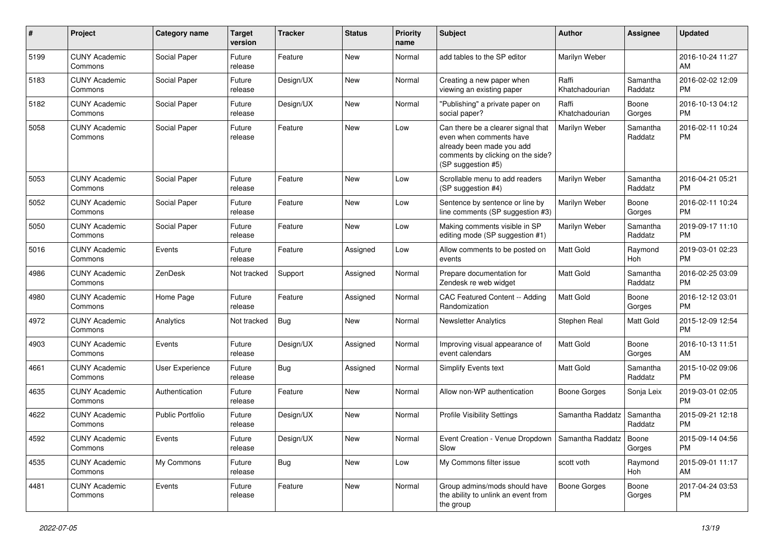| #    | Project                         | <b>Category name</b> | <b>Target</b><br>version | <b>Tracker</b> | <b>Status</b> | <b>Priority</b><br>name | <b>Subject</b>                                                                                                                                        | Author                  | <b>Assignee</b>     | <b>Updated</b>                |
|------|---------------------------------|----------------------|--------------------------|----------------|---------------|-------------------------|-------------------------------------------------------------------------------------------------------------------------------------------------------|-------------------------|---------------------|-------------------------------|
| 5199 | <b>CUNY Academic</b><br>Commons | Social Paper         | Future<br>release        | Feature        | <b>New</b>    | Normal                  | add tables to the SP editor                                                                                                                           | Marilyn Weber           |                     | 2016-10-24 11:27<br>AM        |
| 5183 | <b>CUNY Academic</b><br>Commons | Social Paper         | Future<br>release        | Design/UX      | New           | Normal                  | Creating a new paper when<br>viewing an existing paper                                                                                                | Raffi<br>Khatchadourian | Samantha<br>Raddatz | 2016-02-02 12:09<br><b>PM</b> |
| 5182 | <b>CUNY Academic</b><br>Commons | Social Paper         | Future<br>release        | Design/UX      | New           | Normal                  | "Publishing" a private paper on<br>social paper?                                                                                                      | Raffi<br>Khatchadourian | Boone<br>Gorges     | 2016-10-13 04:12<br><b>PM</b> |
| 5058 | <b>CUNY Academic</b><br>Commons | Social Paper         | Future<br>release        | Feature        | New           | Low                     | Can there be a clearer signal that<br>even when comments have<br>already been made you add<br>comments by clicking on the side?<br>(SP suggestion #5) | Marilyn Weber           | Samantha<br>Raddatz | 2016-02-11 10:24<br><b>PM</b> |
| 5053 | <b>CUNY Academic</b><br>Commons | Social Paper         | Future<br>release        | Feature        | New           | Low                     | Scrollable menu to add readers<br>(SP suggestion #4)                                                                                                  | Marilyn Weber           | Samantha<br>Raddatz | 2016-04-21 05:21<br><b>PM</b> |
| 5052 | <b>CUNY Academic</b><br>Commons | Social Paper         | Future<br>release        | Feature        | New           | Low                     | Sentence by sentence or line by<br>line comments (SP suggestion #3)                                                                                   | Marilyn Weber           | Boone<br>Gorges     | 2016-02-11 10:24<br><b>PM</b> |
| 5050 | <b>CUNY Academic</b><br>Commons | Social Paper         | Future<br>release        | Feature        | <b>New</b>    | Low                     | Making comments visible in SP<br>editing mode (SP suggestion #1)                                                                                      | Marilyn Weber           | Samantha<br>Raddatz | 2019-09-17 11:10<br><b>PM</b> |
| 5016 | <b>CUNY Academic</b><br>Commons | Events               | Future<br>release        | Feature        | Assigned      | Low                     | Allow comments to be posted on<br>events                                                                                                              | <b>Matt Gold</b>        | Raymond<br>Hoh      | 2019-03-01 02:23<br><b>PM</b> |
| 4986 | <b>CUNY Academic</b><br>Commons | ZenDesk              | Not tracked              | Support        | Assigned      | Normal                  | Prepare documentation for<br>Zendesk re web widget                                                                                                    | <b>Matt Gold</b>        | Samantha<br>Raddatz | 2016-02-25 03:09<br><b>PM</b> |
| 4980 | <b>CUNY Academic</b><br>Commons | Home Page            | Future<br>release        | Feature        | Assigned      | Normal                  | CAC Featured Content -- Adding<br>Randomization                                                                                                       | <b>Matt Gold</b>        | Boone<br>Gorges     | 2016-12-12 03:01<br><b>PM</b> |
| 4972 | <b>CUNY Academic</b><br>Commons | Analytics            | Not tracked              | Bug            | New           | Normal                  | <b>Newsletter Analytics</b>                                                                                                                           | Stephen Real            | Matt Gold           | 2015-12-09 12:54<br><b>PM</b> |
| 4903 | <b>CUNY Academic</b><br>Commons | Events               | Future<br>release        | Design/UX      | Assigned      | Normal                  | Improving visual appearance of<br>event calendars                                                                                                     | <b>Matt Gold</b>        | Boone<br>Gorges     | 2016-10-13 11:51<br>AM        |
| 4661 | <b>CUNY Academic</b><br>Commons | User Experience      | Future<br>release        | Bug            | Assigned      | Normal                  | <b>Simplify Events text</b>                                                                                                                           | <b>Matt Gold</b>        | Samantha<br>Raddatz | 2015-10-02 09:06<br><b>PM</b> |
| 4635 | <b>CUNY Academic</b><br>Commons | Authentication       | Future<br>release        | Feature        | <b>New</b>    | Normal                  | Allow non-WP authentication                                                                                                                           | Boone Gorges            | Sonja Leix          | 2019-03-01 02:05<br><b>PM</b> |
| 4622 | <b>CUNY Academic</b><br>Commons | Public Portfolio     | Future<br>release        | Design/UX      | <b>New</b>    | Normal                  | <b>Profile Visibility Settings</b>                                                                                                                    | Samantha Raddatz        | Samantha<br>Raddatz | 2015-09-21 12:18<br><b>PM</b> |
| 4592 | <b>CUNY Academic</b><br>Commons | Events               | Future<br>release        | Design/UX      | New           | Normal                  | Event Creation - Venue Dropdown   Samantha Raddatz<br>Slow                                                                                            |                         | Boone<br>Gorges     | 2015-09-14 04:56<br><b>PM</b> |
| 4535 | <b>CUNY Academic</b><br>Commons | My Commons           | Future<br>release        | Bug            | New           | Low                     | My Commons filter issue                                                                                                                               | scott voth              | Raymond<br>Hoh      | 2015-09-01 11:17<br>AM        |
| 4481 | <b>CUNY Academic</b><br>Commons | Events               | Future<br>release        | Feature        | New           | Normal                  | Group admins/mods should have<br>the ability to unlink an event from<br>the group                                                                     | Boone Gorges            | Boone<br>Gorges     | 2017-04-24 03:53<br>PM.       |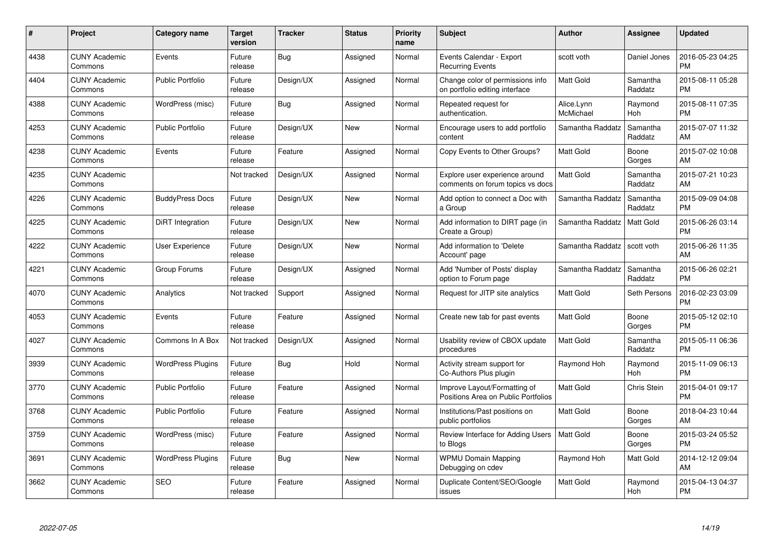| #    | Project                         | Category name            | <b>Target</b><br>version | <b>Tracker</b> | <b>Status</b> | <b>Priority</b><br>name | <b>Subject</b>                                                      | <b>Author</b>           | Assignee            | <b>Updated</b>                |
|------|---------------------------------|--------------------------|--------------------------|----------------|---------------|-------------------------|---------------------------------------------------------------------|-------------------------|---------------------|-------------------------------|
| 4438 | <b>CUNY Academic</b><br>Commons | Events                   | Future<br>release        | Bug            | Assigned      | Normal                  | Events Calendar - Export<br><b>Recurring Events</b>                 | scott voth              | Daniel Jones        | 2016-05-23 04:25<br><b>PM</b> |
| 4404 | <b>CUNY Academic</b><br>Commons | <b>Public Portfolio</b>  | Future<br>release        | Design/UX      | Assigned      | Normal                  | Change color of permissions info<br>on portfolio editing interface  | <b>Matt Gold</b>        | Samantha<br>Raddatz | 2015-08-11 05:28<br><b>PM</b> |
| 4388 | <b>CUNY Academic</b><br>Commons | WordPress (misc)         | Future<br>release        | Bug            | Assigned      | Normal                  | Repeated request for<br>authentication.                             | Alice.Lynn<br>McMichael | Raymond<br>Hoh      | 2015-08-11 07:35<br><b>PM</b> |
| 4253 | <b>CUNY Academic</b><br>Commons | <b>Public Portfolio</b>  | Future<br>release        | Design/UX      | New           | Normal                  | Encourage users to add portfolio<br>content                         | Samantha Raddatz        | Samantha<br>Raddatz | 2015-07-07 11:32<br>AM        |
| 4238 | <b>CUNY Academic</b><br>Commons | Events                   | Future<br>release        | Feature        | Assigned      | Normal                  | Copy Events to Other Groups?                                        | <b>Matt Gold</b>        | Boone<br>Gorges     | 2015-07-02 10:08<br>AM        |
| 4235 | <b>CUNY Academic</b><br>Commons |                          | Not tracked              | Design/UX      | Assigned      | Normal                  | Explore user experience around<br>comments on forum topics vs docs  | Matt Gold               | Samantha<br>Raddatz | 2015-07-21 10:23<br>AM        |
| 4226 | <b>CUNY Academic</b><br>Commons | <b>BuddyPress Docs</b>   | Future<br>release        | Design/UX      | <b>New</b>    | Normal                  | Add option to connect a Doc with<br>a Group                         | Samantha Raddatz        | Samantha<br>Raddatz | 2015-09-09 04:08<br><b>PM</b> |
| 4225 | <b>CUNY Academic</b><br>Commons | DiRT Integration         | Future<br>release        | Design/UX      | <b>New</b>    | Normal                  | Add information to DIRT page (in<br>Create a Group)                 | Samantha Raddatz        | Matt Gold           | 2015-06-26 03:14<br><b>PM</b> |
| 4222 | <b>CUNY Academic</b><br>Commons | <b>User Experience</b>   | Future<br>release        | Design/UX      | <b>New</b>    | Normal                  | Add information to 'Delete<br>Account' page                         | Samantha Raddatz        | scott voth          | 2015-06-26 11:35<br>AM        |
| 4221 | <b>CUNY Academic</b><br>Commons | Group Forums             | Future<br>release        | Design/UX      | Assigned      | Normal                  | Add 'Number of Posts' display<br>option to Forum page               | Samantha Raddatz        | Samantha<br>Raddatz | 2015-06-26 02:21<br><b>PM</b> |
| 4070 | <b>CUNY Academic</b><br>Commons | Analytics                | Not tracked              | Support        | Assigned      | Normal                  | Request for JITP site analytics                                     | Matt Gold               | Seth Persons        | 2016-02-23 03:09<br><b>PM</b> |
| 4053 | <b>CUNY Academic</b><br>Commons | Events                   | Future<br>release        | Feature        | Assigned      | Normal                  | Create new tab for past events                                      | <b>Matt Gold</b>        | Boone<br>Gorges     | 2015-05-12 02:10<br><b>PM</b> |
| 4027 | <b>CUNY Academic</b><br>Commons | Commons In A Box         | Not tracked              | Design/UX      | Assigned      | Normal                  | Usability review of CBOX update<br>procedures                       | <b>Matt Gold</b>        | Samantha<br>Raddatz | 2015-05-11 06:36<br><b>PM</b> |
| 3939 | <b>CUNY Academic</b><br>Commons | <b>WordPress Plugins</b> | Future<br>release        | Bug            | Hold          | Normal                  | Activity stream support for<br>Co-Authors Plus plugin               | Raymond Hoh             | Raymond<br>Hoh      | 2015-11-09 06:13<br><b>PM</b> |
| 3770 | <b>CUNY Academic</b><br>Commons | Public Portfolio         | Future<br>release        | Feature        | Assigned      | Normal                  | Improve Layout/Formatting of<br>Positions Area on Public Portfolios | Matt Gold               | Chris Stein         | 2015-04-01 09:17<br><b>PM</b> |
| 3768 | <b>CUNY Academic</b><br>Commons | <b>Public Portfolio</b>  | Future<br>release        | Feature        | Assigned      | Normal                  | Institutions/Past positions on<br>public portfolios                 | Matt Gold               | Boone<br>Gorges     | 2018-04-23 10:44<br>AM        |
| 3759 | <b>CUNY Academic</b><br>Commons | WordPress (misc)         | Future<br>release        | Feature        | Assigned      | Normal                  | Review Interface for Adding Users<br>to Blogs                       | Matt Gold               | Boone<br>Gorges     | 2015-03-24 05:52<br><b>PM</b> |
| 3691 | <b>CUNY Academic</b><br>Commons | <b>WordPress Plugins</b> | Future<br>release        | Bug            | New           | Normal                  | <b>WPMU Domain Mapping</b><br>Debugging on cdev                     | Raymond Hoh             | Matt Gold           | 2014-12-12 09:04<br>AM        |
| 3662 | <b>CUNY Academic</b><br>Commons | <b>SEO</b>               | Future<br>release        | Feature        | Assigned      | Normal                  | Duplicate Content/SEO/Google<br>issues                              | <b>Matt Gold</b>        | Raymond<br>Hoh      | 2015-04-13 04:37<br><b>PM</b> |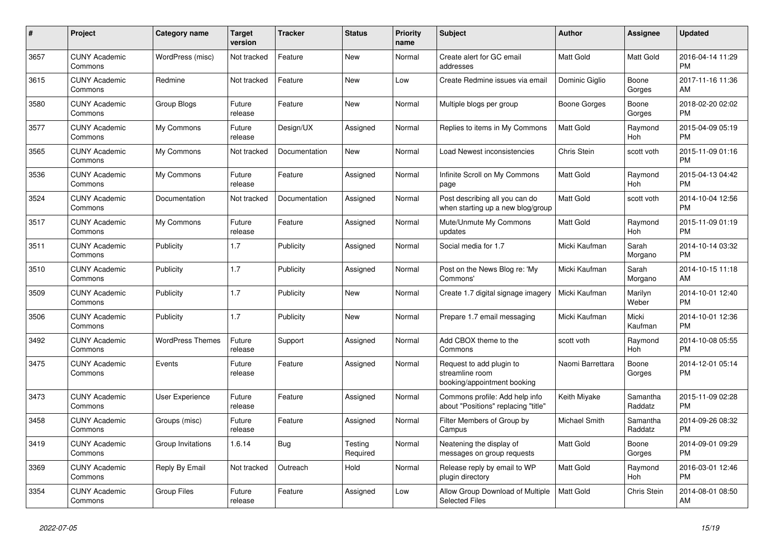| #    | Project                         | <b>Category name</b>    | Target<br>version | <b>Tracker</b> | <b>Status</b>       | <b>Priority</b><br>name | <b>Subject</b>                                                             | <b>Author</b>    | Assignee            | <b>Updated</b>                |
|------|---------------------------------|-------------------------|-------------------|----------------|---------------------|-------------------------|----------------------------------------------------------------------------|------------------|---------------------|-------------------------------|
| 3657 | <b>CUNY Academic</b><br>Commons | WordPress (misc)        | Not tracked       | Feature        | New                 | Normal                  | Create alert for GC email<br>addresses                                     | Matt Gold        | Matt Gold           | 2016-04-14 11:29<br><b>PM</b> |
| 3615 | <b>CUNY Academic</b><br>Commons | Redmine                 | Not tracked       | Feature        | New                 | Low                     | Create Redmine issues via email                                            | Dominic Giglio   | Boone<br>Gorges     | 2017-11-16 11:36<br>AM        |
| 3580 | <b>CUNY Academic</b><br>Commons | Group Blogs             | Future<br>release | Feature        | <b>New</b>          | Normal                  | Multiple blogs per group                                                   | Boone Gorges     | Boone<br>Gorges     | 2018-02-20 02:02<br><b>PM</b> |
| 3577 | <b>CUNY Academic</b><br>Commons | My Commons              | Future<br>release | Design/UX      | Assigned            | Normal                  | Replies to items in My Commons                                             | Matt Gold        | Raymond<br>Hoh      | 2015-04-09 05:19<br><b>PM</b> |
| 3565 | <b>CUNY Academic</b><br>Commons | My Commons              | Not tracked       | Documentation  | New                 | Normal                  | Load Newest inconsistencies                                                | Chris Stein      | scott voth          | 2015-11-09 01:16<br><b>PM</b> |
| 3536 | <b>CUNY Academic</b><br>Commons | My Commons              | Future<br>release | Feature        | Assigned            | Normal                  | Infinite Scroll on My Commons<br>page                                      | Matt Gold        | Raymond<br>Hoh      | 2015-04-13 04:42<br><b>PM</b> |
| 3524 | <b>CUNY Academic</b><br>Commons | Documentation           | Not tracked       | Documentation  | Assigned            | Normal                  | Post describing all you can do<br>when starting up a new blog/group        | Matt Gold        | scott voth          | 2014-10-04 12:56<br><b>PM</b> |
| 3517 | <b>CUNY Academic</b><br>Commons | My Commons              | Future<br>release | Feature        | Assigned            | Normal                  | Mute/Unmute My Commons<br>updates                                          | Matt Gold        | Raymond<br>Hoh      | 2015-11-09 01:19<br><b>PM</b> |
| 3511 | <b>CUNY Academic</b><br>Commons | Publicity               | 1.7               | Publicity      | Assigned            | Normal                  | Social media for 1.7                                                       | Micki Kaufman    | Sarah<br>Morgano    | 2014-10-14 03:32<br><b>PM</b> |
| 3510 | <b>CUNY Academic</b><br>Commons | Publicity               | 1.7               | Publicity      | Assigned            | Normal                  | Post on the News Blog re: 'My<br>Commons'                                  | Micki Kaufman    | Sarah<br>Morgano    | 2014-10-15 11:18<br>AM        |
| 3509 | <b>CUNY Academic</b><br>Commons | Publicity               | 1.7               | Publicity      | New                 | Normal                  | Create 1.7 digital signage imagery                                         | Micki Kaufman    | Marilyn<br>Weber    | 2014-10-01 12:40<br><b>PM</b> |
| 3506 | <b>CUNY Academic</b><br>Commons | Publicity               | 1.7               | Publicity      | New                 | Normal                  | Prepare 1.7 email messaging                                                | Micki Kaufman    | Micki<br>Kaufman    | 2014-10-01 12:36<br><b>PM</b> |
| 3492 | <b>CUNY Academic</b><br>Commons | <b>WordPress Themes</b> | Future<br>release | Support        | Assigned            | Normal                  | Add CBOX theme to the<br>Commons                                           | scott voth       | Raymond<br>Hoh      | 2014-10-08 05:55<br><b>PM</b> |
| 3475 | <b>CUNY Academic</b><br>Commons | Events                  | Future<br>release | Feature        | Assigned            | Normal                  | Request to add plugin to<br>streamline room<br>booking/appointment booking | Naomi Barrettara | Boone<br>Gorges     | 2014-12-01 05:14<br><b>PM</b> |
| 3473 | <b>CUNY Academic</b><br>Commons | User Experience         | Future<br>release | Feature        | Assigned            | Normal                  | Commons profile: Add help info<br>about "Positions" replacing "title"      | Keith Miyake     | Samantha<br>Raddatz | 2015-11-09 02:28<br><b>PM</b> |
| 3458 | <b>CUNY Academic</b><br>Commons | Groups (misc)           | Future<br>release | Feature        | Assigned            | Normal                  | Filter Members of Group by<br>Campus                                       | Michael Smith    | Samantha<br>Raddatz | 2014-09-26 08:32<br><b>PM</b> |
| 3419 | <b>CUNY Academic</b><br>Commons | Group Invitations       | 1.6.14            | <b>Bug</b>     | Testing<br>Required | Normal                  | Neatening the display of<br>messages on group requests                     | <b>Matt Gold</b> | Boone<br>Gorges     | 2014-09-01 09:29<br><b>PM</b> |
| 3369 | <b>CUNY Academic</b><br>Commons | Reply By Email          | Not tracked       | Outreach       | Hold                | Normal                  | Release reply by email to WP<br>plugin directory                           | Matt Gold        | Raymond<br>Hoh      | 2016-03-01 12:46<br><b>PM</b> |
| 3354 | <b>CUNY Academic</b><br>Commons | <b>Group Files</b>      | Future<br>release | Feature        | Assigned            | Low                     | Allow Group Download of Multiple<br><b>Selected Files</b>                  | Matt Gold        | Chris Stein         | 2014-08-01 08:50<br>AM        |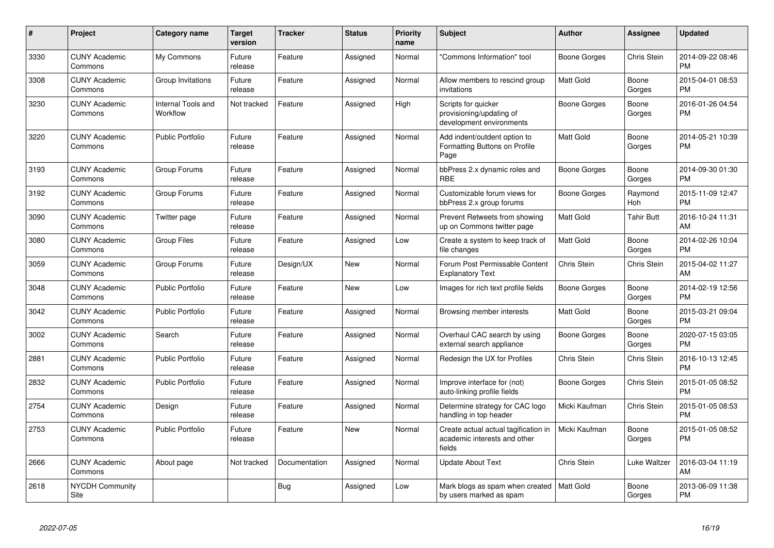| #    | Project                         | Category name                  | <b>Target</b><br>version | <b>Tracker</b> | <b>Status</b> | <b>Priority</b><br>name | <b>Subject</b>                                                                 | <b>Author</b>    | <b>Assignee</b>   | <b>Updated</b>                |
|------|---------------------------------|--------------------------------|--------------------------|----------------|---------------|-------------------------|--------------------------------------------------------------------------------|------------------|-------------------|-------------------------------|
| 3330 | <b>CUNY Academic</b><br>Commons | My Commons                     | Future<br>release        | Feature        | Assigned      | Normal                  | 'Commons Information" tool                                                     | Boone Gorges     | Chris Stein       | 2014-09-22 08:46<br><b>PM</b> |
| 3308 | <b>CUNY Academic</b><br>Commons | Group Invitations              | Future<br>release        | Feature        | Assigned      | Normal                  | Allow members to rescind group<br>invitations                                  | Matt Gold        | Boone<br>Gorges   | 2015-04-01 08:53<br><b>PM</b> |
| 3230 | <b>CUNY Academic</b><br>Commons | Internal Tools and<br>Workflow | Not tracked              | Feature        | Assigned      | High                    | Scripts for quicker<br>provisioning/updating of<br>development environments    | Boone Gorges     | Boone<br>Gorges   | 2016-01-26 04:54<br><b>PM</b> |
| 3220 | <b>CUNY Academic</b><br>Commons | Public Portfolio               | Future<br>release        | Feature        | Assigned      | Normal                  | Add indent/outdent option to<br>Formatting Buttons on Profile<br>Page          | Matt Gold        | Boone<br>Gorges   | 2014-05-21 10:39<br><b>PM</b> |
| 3193 | <b>CUNY Academic</b><br>Commons | Group Forums                   | Future<br>release        | Feature        | Assigned      | Normal                  | bbPress 2.x dynamic roles and<br>RBE                                           | Boone Gorges     | Boone<br>Gorges   | 2014-09-30 01:30<br><b>PM</b> |
| 3192 | <b>CUNY Academic</b><br>Commons | Group Forums                   | Future<br>release        | Feature        | Assigned      | Normal                  | Customizable forum views for<br>bbPress 2.x group forums                       | Boone Gorges     | Raymond<br>Hoh    | 2015-11-09 12:47<br><b>PM</b> |
| 3090 | <b>CUNY Academic</b><br>Commons | Twitter page                   | Future<br>release        | Feature        | Assigned      | Normal                  | Prevent Retweets from showing<br>up on Commons twitter page                    | Matt Gold        | <b>Tahir Butt</b> | 2016-10-24 11:31<br>AM        |
| 3080 | <b>CUNY Academic</b><br>Commons | <b>Group Files</b>             | Future<br>release        | Feature        | Assigned      | Low                     | Create a system to keep track of<br>file changes                               | Matt Gold        | Boone<br>Gorges   | 2014-02-26 10:04<br>PM        |
| 3059 | <b>CUNY Academic</b><br>Commons | Group Forums                   | Future<br>release        | Design/UX      | New           | Normal                  | Forum Post Permissable Content<br><b>Explanatory Text</b>                      | Chris Stein      | Chris Stein       | 2015-04-02 11:27<br>AM        |
| 3048 | <b>CUNY Academic</b><br>Commons | <b>Public Portfolio</b>        | Future<br>release        | Feature        | <b>New</b>    | Low                     | Images for rich text profile fields                                            | Boone Gorges     | Boone<br>Gorges   | 2014-02-19 12:56<br>PM        |
| 3042 | <b>CUNY Academic</b><br>Commons | <b>Public Portfolio</b>        | Future<br>release        | Feature        | Assigned      | Normal                  | Browsing member interests                                                      | Matt Gold        | Boone<br>Gorges   | 2015-03-21 09:04<br><b>PM</b> |
| 3002 | <b>CUNY Academic</b><br>Commons | Search                         | Future<br>release        | Feature        | Assigned      | Normal                  | Overhaul CAC search by using<br>external search appliance                      | Boone Gorges     | Boone<br>Gorges   | 2020-07-15 03:05<br><b>PM</b> |
| 2881 | <b>CUNY Academic</b><br>Commons | <b>Public Portfolio</b>        | Future<br>release        | Feature        | Assigned      | Normal                  | Redesign the UX for Profiles                                                   | Chris Stein      | Chris Stein       | 2016-10-13 12:45<br><b>PM</b> |
| 2832 | <b>CUNY Academic</b><br>Commons | <b>Public Portfolio</b>        | Future<br>release        | Feature        | Assigned      | Normal                  | Improve interface for (not)<br>auto-linking profile fields                     | Boone Gorges     | Chris Stein       | 2015-01-05 08:52<br><b>PM</b> |
| 2754 | <b>CUNY Academic</b><br>Commons | Design                         | Future<br>release        | Feature        | Assigned      | Normal                  | Determine strategy for CAC logo<br>handling in top header                      | Micki Kaufman    | Chris Stein       | 2015-01-05 08:53<br>PM        |
| 2753 | <b>CUNY Academic</b><br>Commons | <b>Public Portfolio</b>        | Future<br>release        | Feature        | New           | Normal                  | Create actual actual tagification in<br>academic interests and other<br>fields | Micki Kaufman    | Boone<br>Gorges   | 2015-01-05 08:52<br><b>PM</b> |
| 2666 | <b>CUNY Academic</b><br>Commons | About page                     | Not tracked              | Documentation  | Assigned      | Normal                  | <b>Update About Text</b>                                                       | Chris Stein      | Luke Waltzer      | 2016-03-04 11:19<br>AM        |
| 2618 | <b>NYCDH Community</b><br>Site  |                                |                          | <b>Bug</b>     | Assigned      | Low                     | Mark blogs as spam when created<br>by users marked as spam                     | <b>Matt Gold</b> | Boone<br>Gorges   | 2013-06-09 11:38<br><b>PM</b> |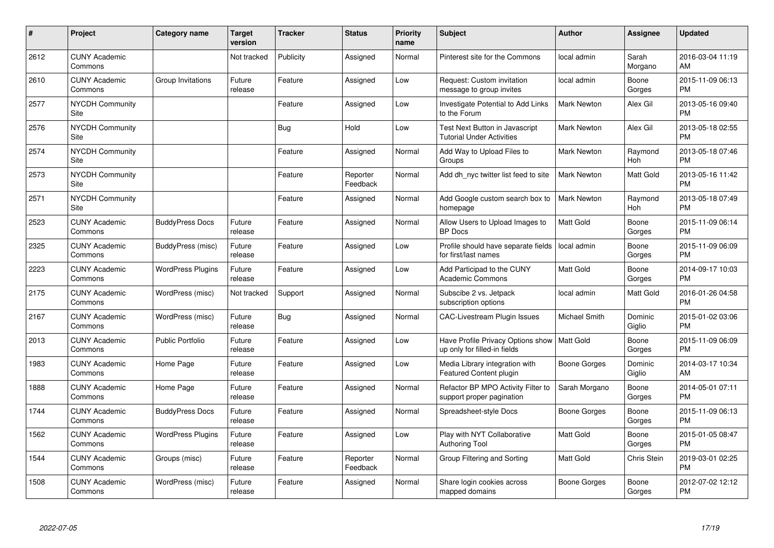| #    | Project                         | Category name            | <b>Target</b><br>version | <b>Tracker</b> | <b>Status</b>        | Priority<br>name | <b>Subject</b>                                                                | <b>Author</b>      | <b>Assignee</b>   | <b>Updated</b>                |
|------|---------------------------------|--------------------------|--------------------------|----------------|----------------------|------------------|-------------------------------------------------------------------------------|--------------------|-------------------|-------------------------------|
| 2612 | <b>CUNY Academic</b><br>Commons |                          | Not tracked              | Publicity      | Assigned             | Normal           | Pinterest site for the Commons                                                | local admin        | Sarah<br>Morgano  | 2016-03-04 11:19<br>AM        |
| 2610 | <b>CUNY Academic</b><br>Commons | Group Invitations        | Future<br>release        | Feature        | Assigned             | Low              | Request: Custom invitation<br>message to group invites                        | local admin        | Boone<br>Gorges   | 2015-11-09 06:13<br><b>PM</b> |
| 2577 | <b>NYCDH Community</b><br>Site  |                          |                          | Feature        | Assigned             | Low              | Investigate Potential to Add Links<br>to the Forum                            | <b>Mark Newton</b> | Alex Gil          | 2013-05-16 09:40<br><b>PM</b> |
| 2576 | <b>NYCDH Community</b><br>Site  |                          |                          | <b>Bug</b>     | Hold                 | Low              | Test Next Button in Javascript<br><b>Tutorial Under Activities</b>            | <b>Mark Newton</b> | Alex Gil          | 2013-05-18 02:55<br><b>PM</b> |
| 2574 | <b>NYCDH Community</b><br>Site  |                          |                          | Feature        | Assigned             | Normal           | Add Way to Upload Files to<br>Groups                                          | <b>Mark Newton</b> | Raymond<br>Hoh    | 2013-05-18 07:46<br><b>PM</b> |
| 2573 | <b>NYCDH Community</b><br>Site  |                          |                          | Feature        | Reporter<br>Feedback | Normal           | Add dh_nyc twitter list feed to site                                          | <b>Mark Newton</b> | Matt Gold         | 2013-05-16 11:42<br><b>PM</b> |
| 2571 | <b>NYCDH Community</b><br>Site  |                          |                          | Feature        | Assigned             | Normal           | Add Google custom search box to<br>homepage                                   | <b>Mark Newton</b> | Raymond<br>Hoh    | 2013-05-18 07:49<br><b>PM</b> |
| 2523 | <b>CUNY Academic</b><br>Commons | <b>BuddyPress Docs</b>   | Future<br>release        | Feature        | Assigned             | Normal           | Allow Users to Upload Images to<br><b>BP</b> Docs                             | <b>Matt Gold</b>   | Boone<br>Gorges   | 2015-11-09 06:14<br><b>PM</b> |
| 2325 | <b>CUNY Academic</b><br>Commons | BuddyPress (misc)        | Future<br>release        | Feature        | Assigned             | Low              | Profile should have separate fields<br>for first/last names                   | local admin        | Boone<br>Gorges   | 2015-11-09 06:09<br><b>PM</b> |
| 2223 | <b>CUNY Academic</b><br>Commons | <b>WordPress Plugins</b> | Future<br>release        | Feature        | Assigned             | Low              | Add Participad to the CUNY<br><b>Academic Commons</b>                         | <b>Matt Gold</b>   | Boone<br>Gorges   | 2014-09-17 10:03<br><b>PM</b> |
| 2175 | <b>CUNY Academic</b><br>Commons | WordPress (misc)         | Not tracked              | Support        | Assigned             | Normal           | Subscibe 2 vs. Jetpack<br>subscription options                                | local admin        | Matt Gold         | 2016-01-26 04:58<br><b>PM</b> |
| 2167 | <b>CUNY Academic</b><br>Commons | WordPress (misc)         | Future<br>release        | <b>Bug</b>     | Assigned             | Normal           | CAC-Livestream Plugin Issues                                                  | Michael Smith      | Dominic<br>Giglio | 2015-01-02 03:06<br><b>PM</b> |
| 2013 | <b>CUNY Academic</b><br>Commons | <b>Public Portfolio</b>  | Future<br>release        | Feature        | Assigned             | Low              | Have Profile Privacy Options show   Matt Gold<br>up only for filled-in fields |                    | Boone<br>Gorges   | 2015-11-09 06:09<br><b>PM</b> |
| 1983 | <b>CUNY Academic</b><br>Commons | Home Page                | Future<br>release        | Feature        | Assigned             | Low              | Media Library integration with<br>Featured Content plugin                     | Boone Gorges       | Dominic<br>Giglio | 2014-03-17 10:34<br>AM        |
| 1888 | <b>CUNY Academic</b><br>Commons | Home Page                | Future<br>release        | Feature        | Assigned             | Normal           | Refactor BP MPO Activity Filter to<br>support proper pagination               | Sarah Morgano      | Boone<br>Gorges   | 2014-05-01 07:11<br><b>PM</b> |
| 1744 | <b>CUNY Academic</b><br>Commons | <b>BuddyPress Docs</b>   | Future<br>release        | Feature        | Assigned             | Normal           | Spreadsheet-style Docs                                                        | Boone Gorges       | Boone<br>Gorges   | 2015-11-09 06:13<br><b>PM</b> |
| 1562 | <b>CUNY Academic</b><br>Commons | <b>WordPress Plugins</b> | Future<br>release        | Feature        | Assigned             | Low              | Play with NYT Collaborative<br><b>Authoring Tool</b>                          | <b>Matt Gold</b>   | Boone<br>Gorges   | 2015-01-05 08:47<br><b>PM</b> |
| 1544 | <b>CUNY Academic</b><br>Commons | Groups (misc)            | Future<br>release        | Feature        | Reporter<br>Feedback | Normal           | Group Filtering and Sorting                                                   | <b>Matt Gold</b>   | Chris Stein       | 2019-03-01 02:25<br><b>PM</b> |
| 1508 | <b>CUNY Academic</b><br>Commons | WordPress (misc)         | Future<br>release        | Feature        | Assigned             | Normal           | Share login cookies across<br>mapped domains                                  | Boone Gorges       | Boone<br>Gorges   | 2012-07-02 12:12<br><b>PM</b> |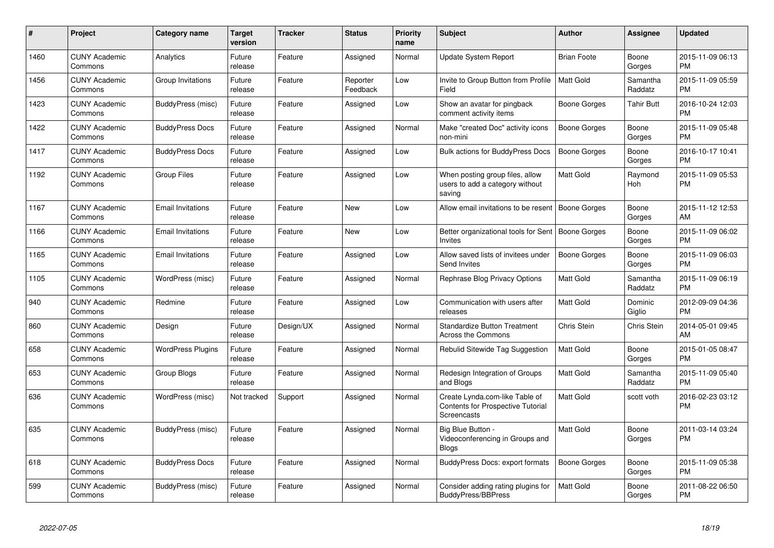| #    | <b>Project</b>                  | <b>Category name</b>     | Target<br>version | <b>Tracker</b> | <b>Status</b>        | <b>Priority</b><br>name | <b>Subject</b>                                                                     | <b>Author</b>       | Assignee            | <b>Updated</b>                |
|------|---------------------------------|--------------------------|-------------------|----------------|----------------------|-------------------------|------------------------------------------------------------------------------------|---------------------|---------------------|-------------------------------|
| 1460 | <b>CUNY Academic</b><br>Commons | Analytics                | Future<br>release | Feature        | Assigned             | Normal                  | Update System Report                                                               | <b>Brian Foote</b>  | Boone<br>Gorges     | 2015-11-09 06:13<br><b>PM</b> |
| 1456 | <b>CUNY Academic</b><br>Commons | Group Invitations        | Future<br>release | Feature        | Reporter<br>Feedback | Low                     | Invite to Group Button from Profile<br>Field                                       | <b>Matt Gold</b>    | Samantha<br>Raddatz | 2015-11-09 05:59<br><b>PM</b> |
| 1423 | <b>CUNY Academic</b><br>Commons | BuddyPress (misc)        | Future<br>release | Feature        | Assigned             | Low                     | Show an avatar for pingback<br>comment activity items                              | Boone Gorges        | Tahir Butt          | 2016-10-24 12:03<br><b>PM</b> |
| 1422 | <b>CUNY Academic</b><br>Commons | <b>BuddyPress Docs</b>   | Future<br>release | Feature        | Assigned             | Normal                  | Make "created Doc" activity icons<br>non-mini                                      | Boone Gorges        | Boone<br>Gorges     | 2015-11-09 05:48<br><b>PM</b> |
| 1417 | <b>CUNY Academic</b><br>Commons | <b>BuddyPress Docs</b>   | Future<br>release | Feature        | Assigned             | Low                     | <b>Bulk actions for BuddyPress Docs</b>                                            | <b>Boone Gorges</b> | Boone<br>Gorges     | 2016-10-17 10:41<br>PM.       |
| 1192 | <b>CUNY Academic</b><br>Commons | <b>Group Files</b>       | Future<br>release | Feature        | Assigned             | Low                     | When posting group files, allow<br>users to add a category without<br>saving       | <b>Matt Gold</b>    | Raymond<br>Hoh      | 2015-11-09 05:53<br><b>PM</b> |
| 1167 | <b>CUNY Academic</b><br>Commons | <b>Email Invitations</b> | Future<br>release | Feature        | <b>New</b>           | Low                     | Allow email invitations to be resent                                               | <b>Boone Gorges</b> | Boone<br>Gorges     | 2015-11-12 12:53<br>AM        |
| 1166 | <b>CUNY Academic</b><br>Commons | <b>Email Invitations</b> | Future<br>release | Feature        | <b>New</b>           | Low                     | Better organizational tools for Sent<br>Invites                                    | <b>Boone Gorges</b> | Boone<br>Gorges     | 2015-11-09 06:02<br><b>PM</b> |
| 1165 | <b>CUNY Academic</b><br>Commons | <b>Email Invitations</b> | Future<br>release | Feature        | Assigned             | Low                     | Allow saved lists of invitees under<br>Send Invites                                | <b>Boone Gorges</b> | Boone<br>Gorges     | 2015-11-09 06:03<br><b>PM</b> |
| 1105 | <b>CUNY Academic</b><br>Commons | WordPress (misc)         | Future<br>release | Feature        | Assigned             | Normal                  | Rephrase Blog Privacy Options                                                      | Matt Gold           | Samantha<br>Raddatz | 2015-11-09 06:19<br><b>PM</b> |
| 940  | <b>CUNY Academic</b><br>Commons | Redmine                  | Future<br>release | Feature        | Assigned             | Low                     | Communication with users after<br>releases                                         | <b>Matt Gold</b>    | Dominic<br>Giglio   | 2012-09-09 04:36<br><b>PM</b> |
| 860  | <b>CUNY Academic</b><br>Commons | Design                   | Future<br>release | Design/UX      | Assigned             | Normal                  | <b>Standardize Button Treatment</b><br>Across the Commons                          | Chris Stein         | Chris Stein         | 2014-05-01 09:45<br><b>AM</b> |
| 658  | <b>CUNY Academic</b><br>Commons | <b>WordPress Plugins</b> | Future<br>release | Feature        | Assigned             | Normal                  | Rebulid Sitewide Tag Suggestion                                                    | <b>Matt Gold</b>    | Boone<br>Gorges     | 2015-01-05 08:47<br><b>PM</b> |
| 653  | <b>CUNY Academic</b><br>Commons | Group Blogs              | Future<br>release | Feature        | Assigned             | Normal                  | Redesign Integration of Groups<br>and Blogs                                        | <b>Matt Gold</b>    | Samantha<br>Raddatz | 2015-11-09 05:40<br><b>PM</b> |
| 636  | <b>CUNY Academic</b><br>Commons | WordPress (misc)         | Not tracked       | Support        | Assigned             | Normal                  | Create Lynda.com-like Table of<br>Contents for Prospective Tutorial<br>Screencasts | Matt Gold           | scott voth          | 2016-02-23 03:12<br>PM        |
| 635  | <b>CUNY Academic</b><br>Commons | BuddyPress (misc)        | Future<br>release | Feature        | Assigned             | Normal                  | Big Blue Button -<br>Videoconferencing in Groups and<br>Blogs                      | Matt Gold           | Boone<br>Gorges     | 2011-03-14 03:24<br><b>PM</b> |
| 618  | <b>CUNY Academic</b><br>Commons | <b>BuddyPress Docs</b>   | Future<br>release | Feature        | Assigned             | Normal                  | BuddyPress Docs: export formats                                                    | Boone Gorges        | Boone<br>Gorges     | 2015-11-09 05:38<br><b>PM</b> |
| 599  | <b>CUNY Academic</b><br>Commons | BuddyPress (misc)        | Future<br>release | Feature        | Assigned             | Normal                  | Consider adding rating plugins for<br>BuddyPress/BBPress                           | Matt Gold           | Boone<br>Gorges     | 2011-08-22 06:50<br><b>PM</b> |